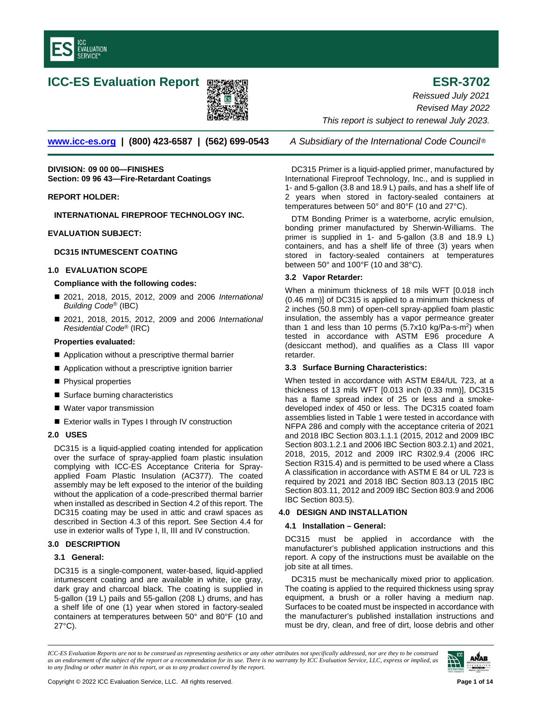

# **ICC-ES Evaluation Report ESR-3702**



**[www.icc-es.org](http://www.icc-es.org/) | (800) 423-6587 | (562) 699-0543** *A Subsidiary of the International Code Council* ®

**DIVISION: 09 00 00—FINISHES Section: 09 96 43—Fire-Retardant Coatings**

# **REPORT HOLDER:**

**INTERNATIONAL FIREPROOF TECHNOLOGY INC.** 

# **EVALUATION SUBJECT:**

# **DC315 INTUMESCENT COATING**

# **1.0 EVALUATION SCOPE**

# **Compliance with the following codes:**

- 2021, 2018, 2015, 2012, 2009 and 2006 *International Building Code*® (IBC)
- 2021, 2018, 2015, 2012, 2009 and 2006 *International Residential Code*® (IRC)

# **Properties evaluated:**

- Application without a prescriptive thermal barrier
- Application without a prescriptive ignition barrier
- **Physical properties**
- Surface burning characteristics
- Water vapor transmission
- Exterior walls in Types I through IV construction

#### **2.0 USES**

DC315 is a liquid-applied coating intended for application over the surface of spray-applied foam plastic insulation complying with ICC-ES Acceptance Criteria for Sprayapplied Foam Plastic Insulation (AC377). The coated assembly may be left exposed to the interior of the building without the application of a code-prescribed thermal barrier when installed as described in Section 4.2 of this report. The DC315 coating may be used in attic and crawl spaces as described in Section 4.3 of this report. See Section 4.4 for use in exterior walls of Type I, II, III and IV construction.

# **3.0 DESCRIPTION**

#### **3.1 General:**

DC315 is a single-component, water-based, liquid-applied intumescent coating and are available in white, ice gray, dark gray and charcoal black. The coating is supplied in 5-gallon (19 L) pails and 55-gallon (208 L) drums, and has a shelf life of one (1) year when stored in factory-sealed containers at temperatures between 50° and 80°F (10 and 27°C).

*Reissued July 2021 Revised May 2022 This report is subject to renewal July 2023.* 

DC315 Primer is a liquid-applied primer, manufactured by International Fireproof Technology, Inc., and is supplied in 1- and 5-gallon (3.8 and 18.9 L) pails, and has a shelf life of 2 years when stored in factory-sealed containers at temperatures between 50° and 80°F (10 and 27°C).

DTM Bonding Primer is a waterborne, acrylic emulsion, bonding primer manufactured by Sherwin-Williams. The primer is supplied in 1- and 5-gallon (3.8 and 18.9 L) containers, and has a shelf life of three (3) years when stored in factory-sealed containers at temperatures between 50° and 100°F (10 and 38°C).

# **3.2 Vapor Retarder:**

When a minimum thickness of 18 mils WFT [0.018 inch (0.46 mm)] of DC315 is applied to a minimum thickness of 2 inches (50.8 mm) of open-cell spray-applied foam plastic insulation, the assembly has a vapor permeance greater than 1 and less than 10 perms  $(5.7x10 \text{ kg/Pa-s-m}^2)$  when tested in accordance with ASTM E96 procedure A (desiccant method), and qualifies as a Class III vapor retarder.

# **3.3 Surface Burning Characteristics:**

When tested in accordance with ASTM E84/UL 723, at a thickness of 13 mils WFT [0.013 inch (0.33 mm)], DC315 has a flame spread index of 25 or less and a smokedeveloped index of 450 or less. The DC315 coated foam assemblies listed in Table 1 were tested in accordance with NFPA 286 and comply with the acceptance criteria of 2021 and 2018 IBC Section 803.1.1.1 (2015, 2012 and 2009 IBC Section 803.1.2.1 and 2006 IBC Section 803.2.1) and 2021, 2018, 2015, 2012 and 2009 IRC R302.9.4 (2006 IRC Section R315.4) and is permitted to be used where a Class A classification in accordance with ASTM E 84 or UL 723 is required by 2021 and 2018 IBC Section 803.13 (2015 IBC Section 803.11, 2012 and 2009 IBC Section 803.9 and 2006 IBC Section 803.5).

#### **4.0 DESIGN AND INSTALLATION**

#### **4.1 Installation – General:**

DC315 must be applied in accordance with the manufacturer's published application instructions and this report. A copy of the instructions must be available on the job site at all times.

DC315 must be mechanically mixed prior to application. The coating is applied to the required thickness using spray equipment, a brush or a roller having a medium nap. Surfaces to be coated must be inspected in accordance with the manufacturer's published installation instructions and must be dry, clean, and free of dirt, loose debris and other

*ICC-ES Evaluation Reports are not to be construed as representing aesthetics or any other attributes not specifically addressed, nor are they to be construed as an endorsement of the subject of the report or a recommendation for its use. There is no warranty by ICC Evaluation Service, LLC, express or implied, as to any finding or other matter in this report, or as to any product covered by the report.*

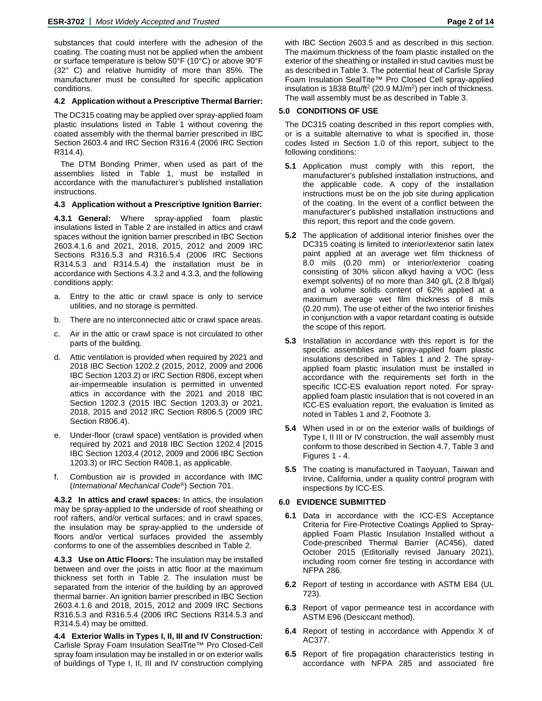substances that could interfere with the adhesion of the coating. The coating must not be applied when the ambient or surface temperature is below 50°F (10°C) or above 90°F (32° C) and relative humidity of more than 85%. The manufacturer must be consulted for specific application conditions.

# **4.2 Application without a Prescriptive Thermal Barrier:**

The DC315 coating may be applied over spray-applied foam plastic insulations listed in Table 1 without covering the coated assembly with the thermal barrier prescribed in IBC Section 2603.4 and IRC Section R316.4 (2006 IRC Section R314.4).

The DTM Bonding Primer, when used as part of the assemblies listed in Table 1, must be installed in accordance with the manufacturer's published installation instructions.

#### **4.3 Application without a Prescriptive Ignition Barrier:**

**4.3.1 General:** Where spray-applied foam plastic insulations listed in Table 2 are installed in attics and crawl spaces without the ignition barrier prescribed in IBC Section 2603.4.1.6 and 2021, 2018, 2015, 2012 and 2009 IRC Sections R316.5.3 and R316.5.4 (2006 IRC Sections R314.5.3 and R314.5.4) the installation must be in accordance with Sections 4.3.2 and 4.3.3, and the following conditions apply:

- a. Entry to the attic or crawl space is only to service utilities, and no storage is permitted.
- b. There are no interconnected attic or crawl space areas.
- c. Air in the attic or crawl space is not circulated to other parts of the building.
- d. Attic ventilation is provided when required by 2021 and 2018 IBC Section 1202.2 (2015, 2012, 2009 and 2006 IBC Section 1203.2) or IRC Section R806, except when air-impermeable insulation is permitted in unvented attics in accordance with the 2021 and 2018 IBC Section 1202.3 (2015 IBC Section 1203.3) or 2021, 2018, 2015 and 2012 IRC Section R806.5 (2009 IRC Section R806.4).
- e. Under-floor (crawl space) ventilation is provided when required by 2021 and 2018 IBC Section 1202.4 [2015 IBC Section 1203.4 (2012, 2009 and 2006 IBC Section 1203.3) or IRC Section R408.1, as applicable.
- f. Combustion air is provided in accordance with IMC (*International Mechanical Code®*) Section 701.

**4.3.2 In attics and crawl spaces:** In attics, the insulation may be spray-applied to the underside of roof sheathing or roof rafters, and/or vertical surfaces; and in crawl spaces, the insulation may be spray-applied to the underside of floors and/or vertical surfaces provided the assembly conforms to one of the assemblies described in Table 2.

**4.3.3 Use on Attic Floors:** The insulation may be installed between and over the joists in attic floor at the maximum thickness set forth in Table 2. The insulation must be separated from the interior of the building by an approved thermal barrier. An ignition barrier prescribed in IBC Section 2603.4.1.6 and 2018, 2015, 2012 and 2009 IRC Sections R316.5.3 and R316.5.4 (2006 IRC Sections R314.5.3 and R314.5.4) may be omitted.

**4.4 Exterior Walls in Types I, II, III and IV Construction:** Carlisle Spray Foam Insulation SealTite™ Pro Closed-Cell spray foam insulation may be installed in or on exterior walls of buildings of Type I, II, III and IV construction complying

with IBC Section 2603.5 and as described in this section. The maximum thickness of the foam plastic installed on the exterior of the sheathing or installed in stud cavities must be as described in Table 3. The potential heat of Carlisle Spray Foam Insulation SealTite™ Pro Closed Cell spray-applied insulation is 1838 Btu/ft<sup>2</sup> (20.9 MJ/m<sup>2</sup>) per inch of thickness. The wall assembly must be as described in Table 3.

# **5.0 CONDITIONS OF USE**

The DC315 coating described in this report complies with, or is a suitable alternative to what is specified in, those codes listed in Section 1.0 of this report, subject to the following conditions:

- **5.1** Application must comply with this report, the manufacturer's published installation instructions, and the applicable code. A copy of the installation instructions must be on the job site during application of the coating. In the event of a conflict between the manufacturer's published installation instructions and this report, this report and the code govern.
- **5.2** The application of additional interior finishes over the DC315 coating is limited to interior/exterior satin latex paint applied at an average wet film thickness of 8.0 mils (0.20 mm) or interior/exterior coating consisting of 30% silicon alkyd having a VOC (less exempt solvents) of no more than 340 g/L (2.8 lb/gal) and a volume solids content of 62% applied at a maximum average wet film thickness of 8 mils (0.20 mm). The use of either of the two interior finishes in conjunction with a vapor retardant coating is outside the scope of this report.
- **5.3** Installation in accordance with this report is for the specific assemblies and spray-applied foam plastic insulations described in Tables 1 and 2. The sprayapplied foam plastic insulation must be installed in accordance with the requirements set forth in the specific ICC-ES evaluation report noted. For sprayapplied foam plastic insulation that is not covered in an ICC-ES evaluation report, the evaluation is limited as noted in Tables 1 and 2, Footnote 3.
- **5.4** When used in or on the exterior walls of buildings of Type I, II III or IV construction, the wall assembly must conform to those described in Section 4.7, Table 3 and Figures 1 - 4.
- **5.5** The coating is manufactured in Taoyuan, Taiwan and Irvine, California, under a quality control program with inspections by ICC-ES.

#### **6.0 EVIDENCE SUBMITTED**

- **6.1** Data in accordance with the ICC-ES Acceptance Criteria for Fire-Protective Coatings Applied to Sprayapplied Foam Plastic Insulation Installed without a Code-prescribed Thermal Barrier (AC456), dated October 2015 (Editorially revised January 2021), including room corner fire testing in accordance with NFPA 286.
- **6.2** Report of testing in accordance with ASTM E84 (UL 723).
- **6.3** Report of vapor permeance test in accordance with ASTM E96 (Desiccant method).
- **6.4** Report of testing in accordance with Appendix X of AC377.
- **6.5** Report of fire propagation characteristics testing in accordance with NFPA 285 and associated fire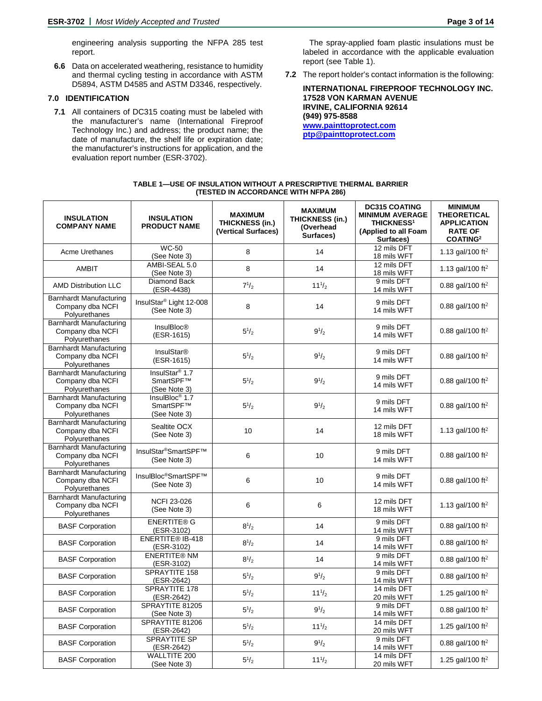engineering analysis supporting the NFPA 285 test report.

**6.6** Data on accelerated weathering, resistance to humidity and thermal cycling testing in accordance with ASTM D5894, ASTM D4585 and ASTM D3346, respectively.

# **7.0 IDENTIFICATION**

**7.1** All containers of DC315 coating must be labeled with the manufacturer's name (International Fireproof Technology Inc.) and address; the product name; the date of manufacture, the shelf life or expiration date; the manufacturer's instructions for application, and the evaluation report number (ESR-3702).

The spray-applied foam plastic insulations must be labeled in accordance with the applicable evaluation report (see Table 1).

**7.2** The report holder's contact information is the following:

**INTERNATIONAL FIREPROOF TECHNOLOGY INC. 17528 VON KARMAN AVENUE IRVINE, CALIFORNIA 92614 (949) 975-8588 [www.painttoprotect.com](http://www.painttoprotect.com/) [ptp@painttoprotect.com](mailto:ptp@painttoprotect.com)**

| TABLE 1—USE OF INSULATION WITHOUT A PRESCRIPTIVE THERMAL BARRIER |
|------------------------------------------------------------------|
| (TESTED IN ACCORDANCE WITH NFPA 286)                             |

| <b>INSULATION</b><br><b>COMPANY NAME</b>                            | <b>INSULATION</b><br><b>PRODUCT NAME</b>                | <b>MAXIMUM</b><br><b>THICKNESS (in.)</b><br>(Vertical Surfaces) | <b>MAXIMUM</b><br><b>THICKNESS (in.)</b><br>(Overhead<br>Surfaces) | <b>DC315 COATING</b><br><b>MINIMUM AVERAGE</b><br><b>THICKNESS<sup>1</sup></b><br>(Applied to all Foam<br>Surfaces) | <b>MINIMUM</b><br><b>THEORETICAL</b><br><b>APPLICATION</b><br><b>RATE OF</b><br>COATING <sup>2</sup> |
|---------------------------------------------------------------------|---------------------------------------------------------|-----------------------------------------------------------------|--------------------------------------------------------------------|---------------------------------------------------------------------------------------------------------------------|------------------------------------------------------------------------------------------------------|
| <b>Acme Urethanes</b>                                               | <b>WC-50</b><br>(See Note 3)                            | 8                                                               | 14                                                                 | 12 mils DFT<br>18 mils WFT                                                                                          | 1.13 gal/100 ft <sup>2</sup>                                                                         |
| <b>AMBIT</b>                                                        | AMBI-SEAL 5.0<br>(See Note 3)                           | 8                                                               | 14                                                                 | 12 mils DFT<br>18 mils WFT                                                                                          | 1.13 gal/100 ft <sup>2</sup>                                                                         |
| <b>AMD Distribution LLC</b>                                         | Diamond Back<br>(ESR-4438)                              | $7^{1/2}$                                                       | $11^{1/2}$                                                         | 9 mils DFT<br>14 mils WFT                                                                                           | 0.88 gal/100 ft <sup>2</sup>                                                                         |
| <b>Barnhardt Manufacturing</b><br>Company dba NCFI<br>Polyurethanes | InsulStar <sup>®</sup> Light 12-008<br>(See Note 3)     | 8                                                               | 14                                                                 | 9 mils DFT<br>14 mils WFT                                                                                           | 0.88 gal/100 ft <sup>2</sup>                                                                         |
| <b>Barnhardt Manufacturing</b><br>Company dba NCFI<br>Polyurethanes | <b>InsulBloc®</b><br>(ESR-1615)                         | $5^{1/2}$                                                       | $9^{1/2}$                                                          | 9 mils DFT<br>14 mils WFT                                                                                           | 0.88 gal/100 ft <sup>2</sup>                                                                         |
| <b>Barnhardt Manufacturing</b><br>Company dba NCFI<br>Polyurethanes | <b>InsulStar®</b><br>(ESR-1615)                         | $5^{1}/_{2}$                                                    | $9^{1/2}$                                                          | 9 mils DFT<br>14 mils WFT                                                                                           | 0.88 gal/100 ft <sup>2</sup>                                                                         |
| <b>Barnhardt Manufacturing</b><br>Company dba NCFI<br>Polyurethanes | InsulStar <sup>®</sup> 1.7<br>SmartSPF™<br>(See Note 3) | $5^{1/2}$                                                       | $9^{1/2}$                                                          | 9 mils DFT<br>14 mils WFT                                                                                           | 0.88 gal/100 ft <sup>2</sup>                                                                         |
| <b>Barnhardt Manufacturing</b><br>Company dba NCFI<br>Polyurethanes | InsulBloc <sup>®</sup> 1.7<br>SmartSPF™<br>(See Note 3) | $5^{1}/_{2}$                                                    | $9^{1/2}$                                                          | 9 mils DFT<br>14 mils WFT                                                                                           | 0.88 gal/100 ft <sup>2</sup>                                                                         |
| <b>Barnhardt Manufacturing</b><br>Company dba NCFI<br>Polyurethanes | Sealtite OCX<br>(See Note 3)                            | 10                                                              | 14                                                                 | 12 mils DFT<br>18 mils WFT                                                                                          | 1.13 gal/100 ft <sup>2</sup>                                                                         |
| <b>Barnhardt Manufacturing</b><br>Company dba NCFI<br>Polyurethanes | InsulStar®SmartSPF™<br>(See Note 3)                     | 6                                                               | 10                                                                 | 9 mils DFT<br>14 mils WFT                                                                                           | 0.88 gal/100 ft <sup>2</sup>                                                                         |
| <b>Barnhardt Manufacturing</b><br>Company dba NCFI<br>Polyurethanes | InsulBloc®SmartSPF™<br>(See Note 3)                     | 6                                                               | 10                                                                 | 9 mils DFT<br>14 mils WFT                                                                                           | 0.88 gal/100 ft <sup>2</sup>                                                                         |
| <b>Barnhardt Manufacturing</b><br>Company dba NCFI<br>Polyurethanes | <b>NCFI 23-026</b><br>(See Note 3)                      | 6                                                               | 6                                                                  | 12 mils DFT<br>18 mils WFT                                                                                          | 1.13 gal/100 ft <sup>2</sup>                                                                         |
| <b>BASF Corporation</b>                                             | <b>ENERTITE® G</b><br>(ESR-3102)                        | $8^{1/2}$                                                       | 14                                                                 | 9 mils DFT<br>14 mils WFT                                                                                           | 0.88 gal/100 ft <sup>2</sup>                                                                         |
| <b>BASF Corporation</b>                                             | ENERTITE® IB-418<br>(ESR-3102)                          | $8^{1/2}$                                                       | 14                                                                 | 9 mils DFT<br>14 mils WFT                                                                                           | 0.88 gal/100 ft <sup>2</sup>                                                                         |
| <b>BASF Corporation</b>                                             | <b>ENERTITE® NM</b><br>(ESR-3102)                       | $8^{1/2}$                                                       | 14                                                                 | 9 mils DFT<br>14 mils WFT                                                                                           | 0.88 gal/100 ft <sup>2</sup>                                                                         |
| <b>BASF Corporation</b>                                             | SPRAYTITE 158<br>(ESR-2642)                             | $5^{1/2}$                                                       | $9^{1/2}$                                                          | 9 mils DFT<br>14 mils WFT                                                                                           | 0.88 gal/100 ft <sup>2</sup>                                                                         |
| <b>BASF Corporation</b>                                             | SPRAYTITE 178<br>(ESR-2642)                             | $5^{1/2}$                                                       | $11^{1/2}$                                                         | 14 mils DFT<br>20 mils WFT                                                                                          | 1.25 gal/100 ft <sup>2</sup>                                                                         |
| <b>BASF Corporation</b>                                             | SPRAYTITE 81205<br>(See Note 3)                         | $5^{1/2}$                                                       | $9^{1/2}$                                                          | 9 mils DFT<br>14 mils WFT                                                                                           | 0.88 gal/100 ft <sup>2</sup>                                                                         |
| <b>BASF Corporation</b>                                             | SPRAYTITE 81206<br>(ESR-2642)                           | $5^{1/2}$                                                       | $11^{1/2}$                                                         | 14 mils DFT<br>20 mils WFT                                                                                          | 1.25 gal/100 ft <sup>2</sup>                                                                         |
| <b>BASF Corporation</b>                                             | SPRAYTITE SP<br>(ESR-2642)                              | $5^{1/2}$                                                       | $9^{1/2}$                                                          | 9 mils DFT<br>14 mils WFT                                                                                           | 0.88 gal/100 ft <sup>2</sup>                                                                         |
| <b>BASF Corporation</b>                                             | WALLTITE 200<br>(See Note 3)                            | $5^{1/2}$                                                       | $11^{1/2}$                                                         | 14 mils DFT<br>20 mils WFT                                                                                          | 1.25 gal/100 ft <sup>2</sup>                                                                         |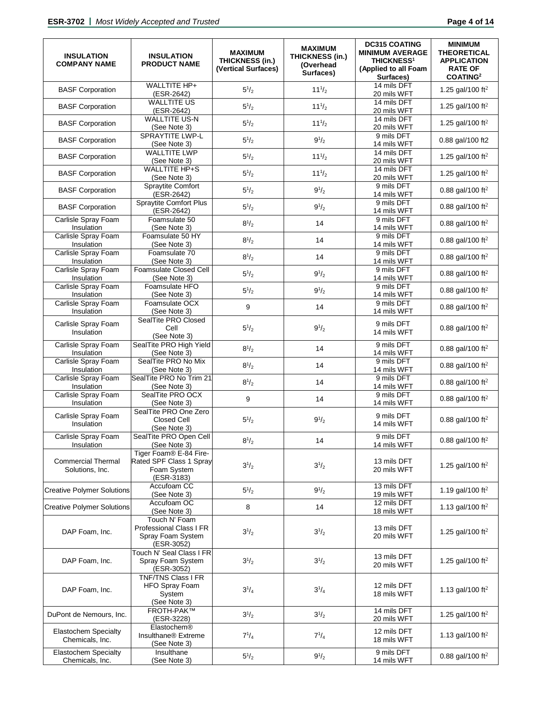| <b>INSULATION</b><br><b>COMPANY NAME</b>       | <b>INSULATION</b><br><b>PRODUCT NAME</b>                                       | <b>MAXIMUM</b><br><b>THICKNESS (in.)</b><br>(Vertical Surfaces) | <b>MAXIMUM</b><br><b>THICKNESS (in.)</b><br>(Overhead<br>Surfaces) | <b>DC315 COATING</b><br><b>MINIMUM AVERAGE</b><br><b>THICKNESS<sup>1</sup></b><br>(Applied to all Foam<br>Surfaces) | <b>MINIMUM</b><br><b>THEORETICAL</b><br><b>APPLICATION</b><br><b>RATE OF</b><br><b>COATING2</b> |
|------------------------------------------------|--------------------------------------------------------------------------------|-----------------------------------------------------------------|--------------------------------------------------------------------|---------------------------------------------------------------------------------------------------------------------|-------------------------------------------------------------------------------------------------|
| <b>BASF Corporation</b>                        | WALLTITE HP+<br>(ESR-2642)                                                     | $5^{1/2}$                                                       | $11^{1/2}$                                                         | 14 mils DFT<br>20 mils WFT                                                                                          | 1.25 gal/100 ft <sup>2</sup>                                                                    |
| <b>BASF Corporation</b>                        | <b>WALLTITE US</b><br>(ESR-2642)                                               | $5^{1/2}$                                                       | $11^{1/2}$                                                         | 14 mils DFT<br>20 mils WFT                                                                                          | 1.25 gal/100 ft <sup>2</sup>                                                                    |
| <b>BASF Corporation</b>                        | <b>WALLTITE US-N</b><br>(See Note 3)                                           | $5^{1/2}$                                                       | $11^{1/2}$                                                         | 14 mils DFT<br>20 mils WFT                                                                                          | 1.25 gal/100 ft <sup>2</sup>                                                                    |
| <b>BASF Corporation</b>                        | SPRAYTITE LWP-L<br>(See Note 3)                                                | $5^{1/2}$                                                       | $9^{1/2}$                                                          | 9 mils DFT<br>14 mils WFT                                                                                           | 0.88 gal/100 ft2                                                                                |
| <b>BASF Corporation</b>                        | <b>WALLTITE LWP</b><br>(See Note 3)                                            | $5^{1}/_{2}$                                                    | $11^{1/2}$                                                         | 14 mils DFT<br>20 mils WFT                                                                                          | 1.25 gal/100 ft <sup>2</sup>                                                                    |
| <b>BASF Corporation</b>                        | <b>WALLTITE HP+S</b><br>(See Note 3)                                           | $5^{1/2}$                                                       | $11^{1/2}$                                                         | 14 mils DFT<br>20 mils WFT                                                                                          | 1.25 gal/100 ft <sup>2</sup>                                                                    |
| <b>BASF Corporation</b>                        | Spraytite Comfort<br>(ESR-2642)                                                | $5^{1/2}$                                                       | $9^{1/2}$                                                          | 9 mils DFT<br>14 mils WFT                                                                                           | 0.88 gal/100 ft <sup>2</sup>                                                                    |
| <b>BASF Corporation</b>                        | <b>Spraytite Comfort Plus</b><br>(ESR-2642)                                    | $5^{1/2}$                                                       | $9^{1/2}$                                                          | 9 mils DFT<br>14 mils WFT                                                                                           | 0.88 gal/100 ft <sup>2</sup>                                                                    |
| Carlisle Spray Foam<br>Insulation              | Foamsulate 50<br>(See Note 3)                                                  | $8^{1/2}$                                                       | 14                                                                 | 9 mils DFT<br>14 mils WFT                                                                                           | 0.88 gal/100 ft <sup>2</sup>                                                                    |
| Carlisle Spray Foam<br>Insulation              | Foamsulate 50 HY<br>(See Note 3)                                               | $8^{1/2}$                                                       | 14                                                                 | 9 mils DFT<br>14 mils WFT                                                                                           | 0.88 gal/100 ft <sup>2</sup>                                                                    |
| Carlisle Spray Foam<br>Insulation              | Foamsulate 70<br>(See Note 3)                                                  | $8^{1/2}$                                                       | 14                                                                 | 9 mils DFT<br>14 mils WFT                                                                                           | 0.88 gal/100 ft <sup>2</sup>                                                                    |
| Carlisle Spray Foam<br>Insulation              | Foamsulate Closed Cell<br>(See Note 3)                                         | $5^{1/2}$                                                       | $9^{1/2}$                                                          | 9 mils DFT<br>14 mils WFT                                                                                           | 0.88 gal/100 ft <sup>2</sup>                                                                    |
| Carlisle Spray Foam<br>Insulation              | Foamsulate HFO<br>(See Note 3)                                                 | $5^{1/2}$                                                       | $9^{1/2}$                                                          | 9 mils DFT<br>14 mils WFT                                                                                           | 0.88 gal/100 ft <sup>2</sup>                                                                    |
| Carlisle Spray Foam<br>Insulation              | Foamsulate OCX<br>(See Note 3)                                                 | 9                                                               | 14                                                                 | 9 mils DFT<br>14 mils WFT                                                                                           | 0.88 gal/100 ft <sup>2</sup>                                                                    |
| Carlisle Spray Foam<br>Insulation              | SealTite PRO Closed<br>Cell<br>(See Note 3)                                    | $5^{1}/_{2}$                                                    | $9^{1/2}$                                                          | 9 mils DFT<br>14 mils WFT                                                                                           | 0.88 gal/100 ft <sup>2</sup>                                                                    |
| Carlisle Spray Foam<br>Insulation              | SealTite PRO High Yield<br>(See Note 3)                                        | $8^{1/2}$                                                       | 14                                                                 | 9 mils DFT<br>14 mils WFT                                                                                           | 0.88 gal/100 ft <sup>2</sup>                                                                    |
| Carlisle Spray Foam<br>Insulation              | SealTite PRO No Mix<br>(See Note 3)                                            | $8^{1/2}$                                                       | 14                                                                 | 9 mils DFT<br>14 mils WFT                                                                                           | 0.88 gal/100 ft <sup>2</sup>                                                                    |
| Carlisle Spray Foam<br>Insulation              | SealTite PRO No Trim 21<br>(See Note 3)                                        | $8^{1/2}$                                                       | 14                                                                 | 9 mils DFT<br>14 mils WFT                                                                                           | 0.88 gal/100 ft <sup>2</sup>                                                                    |
| Carlisle Spray Foam<br>Insulation              | SealTite PRO OCX<br>(See Note 3)                                               | 9                                                               | 14                                                                 | 9 mils DFT<br>14 mils WFT                                                                                           | 0.88 gal/100 ft <sup>2</sup>                                                                    |
| Carlisle Spray Foam<br>Insulation              | SealTite PRO One Zero<br>Closed Cell<br>(See Note 3)                           | $5^{1/2}$                                                       | $9^{1/2}$                                                          | 9 mils DFT<br>14 mils WFT                                                                                           | 0.88 gal/100 ft <sup>2</sup>                                                                    |
| Carlisle Spray Foam<br>Insulation              | SealTite PRO Open Cell<br>(See Note 3)                                         | $8^{1/2}$                                                       | 14                                                                 | 9 mils DFT<br>14 mils WFT                                                                                           | 0.88 gal/100 ft <sup>2</sup>                                                                    |
| <b>Commercial Thermal</b><br>Solutions, Inc.   | Tiger Foam® E-84 Fire-<br>Rated SPF Class 1 Spray<br>Foam System<br>(ESR-3183) | $3^{1/2}$                                                       | $3^{1/2}$                                                          | 13 mils DFT<br>20 mils WFT                                                                                          | 1.25 gal/100 ft <sup>2</sup>                                                                    |
| <b>Creative Polymer Solutions</b>              | Accufoam CC<br>(See Note 3)                                                    | $5^{1/2}$                                                       | $9^{1/2}$                                                          | 13 mils DFT<br>19 mils WFT                                                                                          | 1.19 gal/100 ft <sup>2</sup>                                                                    |
| <b>Creative Polymer Solutions</b>              | Accufoam OC<br>(See Note 3)                                                    | 8                                                               | 14                                                                 | 12 mils DFT<br>18 mils WFT                                                                                          | 1.13 gal/100 ft <sup>2</sup>                                                                    |
| DAP Foam, Inc.                                 | Touch N' Foam<br>Professional Class I FR<br>Spray Foam System<br>(ESR-3052)    | $3^{1/2}$                                                       | $3^{1/2}$                                                          | 13 mils DFT<br>20 mils WFT                                                                                          | 1.25 gal/100 ft <sup>2</sup>                                                                    |
| DAP Foam, Inc.                                 | Touch N' Seal Class I FR<br>Spray Foam System<br>(ESR-3052)                    | $3^{1/2}$                                                       | $3^{1/2}$                                                          | 13 mils DFT<br>20 mils WFT                                                                                          | 1.25 gal/100 ft <sup>2</sup>                                                                    |
| DAP Foam, Inc.                                 | <b>TNF/TNS Class I FR</b><br>HFO Spray Foam<br>System<br>(See Note 3)          | $3^{1/4}$                                                       | $3^{1}/_{4}$                                                       | 12 mils DFT<br>18 mils WFT                                                                                          | 1.13 gal/100 ft <sup>2</sup>                                                                    |
| DuPont de Nemours, Inc.                        | <b>FROTH-PAK™</b><br>(ESR-3228)                                                | $3^{1/2}$                                                       | $3^{1/2}$                                                          | 14 mils DFT<br>20 mils WFT                                                                                          | 1.25 gal/100 ft <sup>2</sup>                                                                    |
| <b>Elastochem Specialty</b><br>Chemicals, Inc. | Elastochem®<br>Insulthane <sup>®</sup> Extreme<br>(See Note 3)                 | $7^{1/4}$                                                       | $7^{1/4}$                                                          | 12 mils DFT<br>18 mils WFT                                                                                          | 1.13 gal/100 ft <sup>2</sup>                                                                    |
| Elastochem Specialty<br>Chemicals, Inc.        | Insulthane<br>(See Note 3)                                                     | $5^{1/2}$                                                       | $9^{1/2}$                                                          | 9 mils DFT<br>14 mils WFT                                                                                           | 0.88 gal/100 ft <sup>2</sup>                                                                    |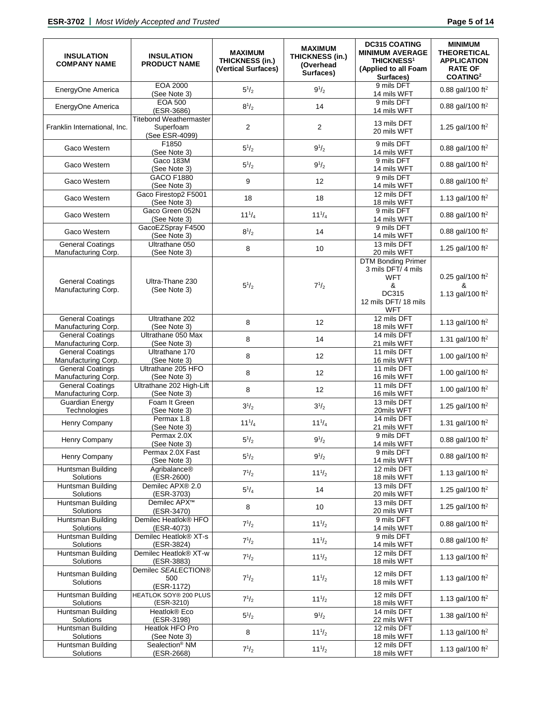| <b>INSULATION</b><br><b>COMPANY NAME</b>       | <b>INSULATION</b><br><b>PRODUCT NAME</b>                     | <b>MAXIMUM</b><br><b>THICKNESS (in.)</b><br>(Vertical Surfaces) | <b>MAXIMUM</b><br>THICKNESS (in.)<br>(Overhead<br>Surfaces) | <b>DC315 COATING</b><br><b>MINIMUM AVERAGE</b><br><b>THICKNESS<sup>1</sup></b><br>(Applied to all Foam<br>Surfaces) | <b>MINIMUM</b><br><b>THEORETICAL</b><br><b>APPLICATION</b><br><b>RATE OF</b><br>COATING <sup>2</sup> |
|------------------------------------------------|--------------------------------------------------------------|-----------------------------------------------------------------|-------------------------------------------------------------|---------------------------------------------------------------------------------------------------------------------|------------------------------------------------------------------------------------------------------|
| EnergyOne America                              | EOA 2000<br>(See Note 3)                                     | $5^{1/2}$                                                       | $9^{1/2}$                                                   | 9 mils DFT<br>14 mils WFT                                                                                           | 0.88 gal/100 ft <sup>2</sup>                                                                         |
| EnergyOne America                              | <b>EOA 500</b><br>(ESR-3686)                                 | $8^{1/2}$                                                       | 14                                                          | 9 mils DFT<br>14 mils WFT                                                                                           | 0.88 gal/100 ft <sup>2</sup>                                                                         |
| Franklin International, Inc.                   | <b>Titebond Weathermaster</b><br>Superfoam<br>(See ESR-4099) | 2                                                               | $\overline{\mathbf{c}}$                                     | 13 mils DFT<br>20 mils WFT                                                                                          | 1.25 gal/100 ft <sup>2</sup>                                                                         |
| Gaco Western                                   | F1850<br>(See Note 3)                                        | $5^{1/2}$                                                       | $9^{1/2}$                                                   | 9 mils DFT<br>14 mils WFT                                                                                           | 0.88 gal/100 ft <sup>2</sup>                                                                         |
| Gaco Western                                   | Gaco 183M<br>(See Note 3)                                    | $5^{1/2}$                                                       | $9^{1/2}$                                                   | 9 mils DFT<br>14 mils WFT                                                                                           | 0.88 gal/100 ft <sup>2</sup>                                                                         |
| Gaco Western                                   | <b>GACO F1880</b><br>(See Note 3)                            | 9                                                               | 12                                                          | 9 mils DFT<br>14 mils WFT                                                                                           | 0.88 gal/100 ft <sup>2</sup>                                                                         |
| Gaco Western                                   | Gaco Firestop2 F5001<br>(See Note 3)                         | 18                                                              | 18                                                          | 12 mils DFT<br>18 mils WFT                                                                                          | 1.13 gal/100 ft <sup>2</sup>                                                                         |
| Gaco Western                                   | Gaco Green 052N<br>(See Note 3)                              | $11^{1}/_{4}$                                                   | $11^{1}/_{4}$                                               | 9 mils DFT<br>14 mils WFT                                                                                           | 0.88 gal/100 ft <sup>2</sup>                                                                         |
| Gaco Western                                   | GacoEZSpray F4500<br>(See Note 3)                            | $8^{1/2}$                                                       | 14                                                          | 9 mils DFT<br>14 mils WFT                                                                                           | 0.88 gal/100 ft <sup>2</sup>                                                                         |
| <b>General Coatings</b><br>Manufacturing Corp. | Ultrathane 050<br>(See Note 3)                               | 8                                                               | 10                                                          | 13 mils DFT<br>20 mils WFT                                                                                          | 1.25 gal/100 ft <sup>2</sup>                                                                         |
| <b>General Coatings</b><br>Manufacturing Corp. | Ultra-Thane 230<br>(See Note 3)                              | $5^{1/2}$                                                       | $7^{1/2}$                                                   | <b>DTM Bonding Primer</b><br>3 mils DFT/ 4 mils<br><b>WFT</b><br>&<br>DC315<br>12 mils DFT/ 18 mils<br>WFT          | 0.25 gal/100 ft <sup>2</sup><br>&<br>1.13 gal/100 ft <sup>2</sup>                                    |
| <b>General Coatings</b><br>Manufacturing Corp. | Ultrathane 202<br>(See Note 3)                               | 8                                                               | 12                                                          | 12 mils DFT<br>18 mils WFT                                                                                          | 1.13 gal/100 ft <sup>2</sup>                                                                         |
| <b>General Coatings</b><br>Manufacturing Corp. | Ultrathane 050 Max<br>(See Note 3)                           | 8                                                               | 14                                                          | 14 mils DFT<br>21 mils WFT                                                                                          | 1.31 gal/100 ft <sup>2</sup>                                                                         |
| <b>General Coatings</b><br>Manufacturing Corp. | Ultrathane 170<br>(See Note 3)                               | 8                                                               | 12                                                          | 11 mils DFT<br>16 mils WFT                                                                                          | 1.00 gal/100 ft <sup>2</sup>                                                                         |
| <b>General Coatings</b><br>Manufacturing Corp. | Ultrathane 205 HFO<br>(See Note 3)                           | 8                                                               | 12                                                          | 11 mils DFT<br>16 mils WFT                                                                                          | 1.00 gal/100 ft <sup>2</sup>                                                                         |
| <b>General Coatings</b><br>Manufacturing Corp. | Ultrathane 202 High-Lift<br>(See Note 3)                     | 8                                                               | 12                                                          | 11 mils DFT<br>16 mils WFT                                                                                          | 1.00 gal/100 ft <sup>2</sup>                                                                         |
| <b>Guardian Energy</b><br>Technologies         | Foam It Green<br>(See Note 3)                                | $3^{1/2}$                                                       | $3^{1/2}$                                                   | 13 mils DFT<br>20mils WFT                                                                                           | 1.25 gal/100 ft <sup>2</sup>                                                                         |
| Henry Company                                  | Permax 1.8<br>(See Note 3)                                   | $11^{1}/_{4}$                                                   | $11^{1}/_{4}$                                               | 14 mils DFT<br>21 mils WFT                                                                                          | 1.31 gal/100 ft <sup>2</sup>                                                                         |
| Henry Company                                  | Permax 2.0X<br>(See Note 3)                                  | $5^{1/2}$                                                       | $9^{1/2}$                                                   | 9 mils DFT<br>14 mils WFT                                                                                           | 0.88 gal/100 ft <sup>2</sup>                                                                         |
| Henry Company                                  | Permax 2.0X Fast<br>(See Note 3)                             | $5^{1}/_{2}$                                                    | $9^{1/2}$                                                   | 9 mils DFT<br>14 mils WFT                                                                                           | 0.88 gal/100 ft <sup>2</sup>                                                                         |
| Huntsman Building<br>Solutions                 | Agribalance®<br>(ESR-2600)                                   | $7^{1/2}$                                                       | $11^{1/2}$                                                  | 12 mils DFT<br>18 mils WFT                                                                                          | 1.13 gal/100 ft <sup>2</sup>                                                                         |
| Huntsman Building<br>Solutions                 | Demilec APX® 2.0<br>(ESR-3703)                               | $5^{1}/_{4}$                                                    | 14                                                          | 13 mils DFT<br>20 mils WFT                                                                                          | 1.25 gal/100 ft <sup>2</sup>                                                                         |
| Huntsman Building<br>Solutions                 | Demilec APX <sup>™</sup><br>(ESR-3470)                       | 8                                                               | 10                                                          | 13 mils DFT<br>20 mils WFT                                                                                          | 1.25 gal/100 ft <sup>2</sup>                                                                         |
| Huntsman Building<br>Solutions                 | Demilec Heatlok® HFO<br>(ESR-4073)                           | $7^{1/2}$                                                       | $11^{1/2}$                                                  | 9 mils DFT<br>14 mils WFT                                                                                           | 0.88 gal/100 ft <sup>2</sup>                                                                         |
| Huntsman Building<br>Solutions                 | Demilec Heatlok® XT-s<br>(ESR-3824)                          | $7^{1/2}$                                                       | $11^{1/2}$                                                  | 9 mils DFT<br>14 mils WFT                                                                                           | 0.88 gal/100 ft <sup>2</sup>                                                                         |
| Huntsman Building<br>Solutions                 | Demilec Heatlok® XT-w<br>(ESR-3883)                          | $7^{1/2}$                                                       | $11^{1/2}$                                                  | 12 mils DFT<br>18 mils WFT                                                                                          | 1.13 gal/100 ft <sup>2</sup>                                                                         |
| Huntsman Building<br>Solutions                 | Demilec SEALECTION®<br>500<br>(ESR-1172)                     | $7^{1/2}$                                                       | $11^{1/2}$                                                  | 12 mils DFT<br>18 mils WFT                                                                                          | 1.13 gal/100 ft <sup>2</sup>                                                                         |
| Huntsman Building<br>Solutions                 | HEATLOK SOY® 200 PLUS<br>(ESR-3210)                          | $7^{1/2}$                                                       | $11^{1/2}$                                                  | 12 mils DFT<br>18 mils WFT                                                                                          | 1.13 gal/100 ft <sup>2</sup>                                                                         |
| Huntsman Building<br>Solutions                 | Heatlok® Eco<br>(ESR-3198)                                   | $5^{1/2}$                                                       | $9^{1/2}$                                                   | 14 mils DFT<br>22 mils WFT                                                                                          | 1.38 gal/100 ft <sup>2</sup>                                                                         |
| Huntsman Building<br>Solutions                 | Heatlok HFO Pro<br>(See Note 3)                              | 8                                                               | $11^{1/2}$                                                  | 12 mils DFT<br>18 mils WFT                                                                                          | 1.13 gal/100 ft <sup>2</sup>                                                                         |
| Huntsman Building<br>Solutions                 | Sealection <sup>®</sup> NM<br>(ESR-2668)                     | $7^{1/2}$                                                       | $11^{1/2}$                                                  | 12 mils DFT<br>18 mils WFT                                                                                          | 1.13 gal/100 ft <sup>2</sup>                                                                         |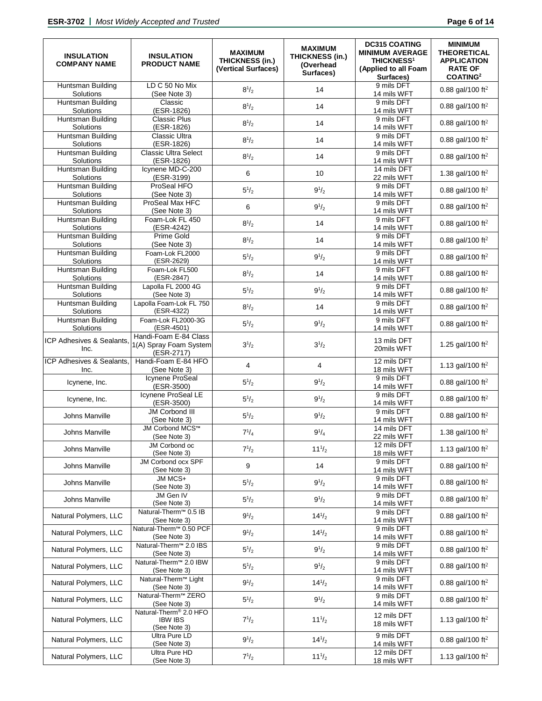| <b>INSULATION</b><br><b>COMPANY NAME</b> | <b>INSULATION</b><br><b>PRODUCT NAME</b>                      | <b>MAXIMUM</b><br><b>THICKNESS (in.)</b><br>(Vertical Surfaces) | <b>MAXIMUM</b><br>THICKNESS (in.)<br>(Overhead<br>Surfaces) | <b>DC315 COATING</b><br><b>MINIMUM AVERAGE</b><br><b>THICKNESS<sup>1</sup></b><br>(Applied to all Foam<br>Surfaces) | <b>MINIMUM</b><br><b>THEORETICAL</b><br><b>APPLICATION</b><br><b>RATE OF</b><br>COATING <sup>2</sup> |
|------------------------------------------|---------------------------------------------------------------|-----------------------------------------------------------------|-------------------------------------------------------------|---------------------------------------------------------------------------------------------------------------------|------------------------------------------------------------------------------------------------------|
| Huntsman Building<br>Solutions           | LD C 50 No Mix<br>(See Note 3)                                | $8^{1/2}$                                                       | 14                                                          | 9 mils DFT<br>14 mils WFT                                                                                           | 0.88 gal/100 ft <sup>2</sup>                                                                         |
| Huntsman Building<br>Solutions           | Classic<br>(ESR-1826)                                         | $8^{1/2}$                                                       | 14                                                          | 9 mils DFT<br>14 mils WFT                                                                                           | 0.88 gal/100 ft <sup>2</sup>                                                                         |
| Huntsman Building<br>Solutions           | <b>Classic Plus</b><br>(ESR-1826)                             | $8^{1/2}$                                                       | 14                                                          | 9 mils DFT<br>14 mils WFT                                                                                           | 0.88 gal/100 ft <sup>2</sup>                                                                         |
| Huntsman Building<br>Solutions           | <b>Classic Ultra</b><br>(ESR-1826)                            | $8^{1/2}$                                                       | 14                                                          | 9 mils DFT<br>14 mils WFT                                                                                           | 0.88 gal/100 ft <sup>2</sup>                                                                         |
| Huntsman Building<br>Solutions           | <b>Classic Ultra Select</b><br>(ESR-1826)                     | $8^{1/2}$                                                       | 14                                                          | 9 mils DFT<br>14 mils WFT                                                                                           | 0.88 gal/100 ft <sup>2</sup>                                                                         |
| Huntsman Building<br>Solutions           | Icynene MD-C-200<br>(ESR-3199)                                | 6                                                               | 10                                                          | 14 mils DFT<br>22 mils WFT                                                                                          | 1.38 gal/100 ft <sup>2</sup>                                                                         |
| Huntsman Building<br>Solutions           | ProSeal HFO<br>(See Note 3)                                   | $5^{1/2}$                                                       | $9^{1/2}$                                                   | 9 mils DFT<br>14 mils WFT                                                                                           | 0.88 gal/100 ft <sup>2</sup>                                                                         |
| Huntsman Building<br>Solutions           | ProSeal Max HFC<br>(See Note 3)                               | 6                                                               | $9^{1/2}$                                                   | 9 mils DFT<br>14 mils WFT                                                                                           | 0.88 gal/100 ft <sup>2</sup>                                                                         |
| Huntsman Building<br>Solutions           | Foam-Lok FL 450<br>(ESR-4242)                                 | $8^{1/2}$                                                       | 14                                                          | 9 mils DFT<br>14 mils WFT                                                                                           | 0.88 gal/100 ft <sup>2</sup>                                                                         |
| Huntsman Building<br>Solutions           | Prime Gold<br>(See Note 3)                                    | $8^{1/2}$                                                       | 14                                                          | 9 mils DFT<br>14 mils WFT                                                                                           | 0.88 gal/100 ft <sup>2</sup>                                                                         |
| Huntsman Building<br>Solutions           | Foam-Lok FL2000<br>(ESR-2629)                                 | $5^{1/2}$                                                       | $9^{1/2}$                                                   | 9 mils DFT<br>14 mils WFT                                                                                           | 0.88 gal/100 ft <sup>2</sup>                                                                         |
| Huntsman Building<br>Solutions           | Foam-Lok FL500<br>(ESR-2847)                                  | $8^{1/2}$                                                       | 14                                                          | 9 mils DFT<br>14 mils WFT                                                                                           | 0.88 gal/100 ft <sup>2</sup>                                                                         |
| Huntsman Building<br>Solutions           | Lapolla FL 2000 4G<br>(See Note 3)                            | $5^{1/2}$                                                       | $9^{1/2}$                                                   | 9 mils DFT<br>14 mils WFT                                                                                           | 0.88 gal/100 ft <sup>2</sup>                                                                         |
| Huntsman Building<br>Solutions           | Lapolla Foam-Lok FL 750<br>(ESR-4322)                         | $8^{1/2}$                                                       | 14                                                          | 9 mils DFT<br>14 mils WFT                                                                                           | 0.88 gal/100 ft <sup>2</sup>                                                                         |
| Huntsman Building<br>Solutions           | Foam-Lok FL2000-3G<br>(ESR-4501)                              | $5^{1/2}$                                                       | $9^{1/2}$                                                   | 9 mils DFT<br>14 mils WFT                                                                                           | 0.88 gal/100 ft <sup>2</sup>                                                                         |
| ICP Adhesives & Sealants,<br>Inc.        | Handi-Foam E-84 Class<br>1(A) Spray Foam System<br>(ESR-2717) | $3^{1/2}$                                                       | $3^{1/2}$                                                   | 13 mils DFT<br>20mils WFT                                                                                           | 1.25 gal/100 ft <sup>2</sup>                                                                         |
| ICP Adhesives & Sealants.<br>Inc.        | Handi-Foam E-84 HFO<br>(See Note 3)                           | 4                                                               | 4                                                           | 12 mils DFT<br>18 mils WFT                                                                                          | 1.13 gal/100 ft <sup>2</sup>                                                                         |
| Icynene, Inc.                            | Icynene ProSeal<br>(ESR-3500)                                 | $5^{1/2}$                                                       | $9^{1/2}$                                                   | 9 mils DFT<br>14 mils WFT                                                                                           | 0.88 gal/100 ft <sup>2</sup>                                                                         |
| Icynene, Inc.                            | Icynene ProSeal LE<br>(ESR-3500)                              | $5^{1/2}$                                                       | $9^{1/2}$                                                   | 9 mils DFT<br>14 mils WFT                                                                                           | 0.88 gal/100 ft <sup>2</sup>                                                                         |
| Johns Manville                           | <b>JM Corbond III</b><br>(See Note 3)                         | $5^{1/2}$                                                       | $9^{1/2}$                                                   | 9 mils DFT<br>14 mils WFT                                                                                           | 0.88 gal/100 ft <sup>2</sup>                                                                         |
| Johns Manville                           | JM Corbond MCS™<br>(See Note 3)                               | $7^{1}/_{4}$                                                    | $9^{1/4}$                                                   | 14 mils DFT<br>22 mils WFT                                                                                          | 1.38 gal/100 ft <sup>2</sup>                                                                         |
| Johns Manville                           | JM Corbond oc<br>(See Note 3)                                 | $7^{1/2}$                                                       | $11^{1/2}$                                                  | 12 mils DFT<br>18 mils WFT                                                                                          | 1.13 gal/100 ft <sup>2</sup>                                                                         |
| Johns Manville                           | JM Corbond ocx SPF<br>(See Note 3)                            | 9                                                               | 14                                                          | 9 mils DFT<br>14 mils WFT                                                                                           | 0.88 gal/100 ft <sup>2</sup>                                                                         |
| Johns Manville                           | JM MCS+<br>(See Note 3)                                       | $5^{1}/_{2}$                                                    | $9^{1/2}$                                                   | 9 mils DFT<br>14 mils WFT                                                                                           | 0.88 gal/100 ft <sup>2</sup>                                                                         |
| Johns Manville                           | JM Gen IV<br>(See Note 3)                                     | $5^{1/2}$                                                       | $9^{1/2}$                                                   | 9 mils DFT<br>14 mils WFT                                                                                           | 0.88 gal/100 ft <sup>2</sup>                                                                         |
| Natural Polymers, LLC                    | Natural-Therm <sup>™</sup> 0.5 IB<br>(See Note 3)             | $9^{1/2}$                                                       | $14^{1/2}$                                                  | 9 mils DFT<br>14 mils WFT                                                                                           | 0.88 gal/100 ft <sup>2</sup>                                                                         |
| Natural Polymers, LLC                    | Natural-Therm™ 0.50 PCF<br>(See Note 3)                       | $9^{1/2}$                                                       | $14^{1/2}$                                                  | 9 mils DFT<br>14 mils WFT                                                                                           | 0.88 gal/100 ft <sup>2</sup>                                                                         |
| Natural Polymers, LLC                    | Natural-Therm <sup>™</sup> 2.0 IBS<br>(See Note 3)            | $5^{1/2}$                                                       | $9^{1/2}$                                                   | 9 mils DFT<br>14 mils WFT                                                                                           | 0.88 gal/100 ft <sup>2</sup>                                                                         |
| Natural Polymers, LLC                    | Natural-Therm <sup>™</sup> 2.0 IBW<br>(See Note 3)            | $5^{1/2}$                                                       | $9^{1/2}$                                                   | 9 mils DFT<br>14 mils WFT                                                                                           | 0.88 gal/100 ft <sup>2</sup>                                                                         |
| Natural Polymers, LLC                    | Natural-Therm <sup>™</sup> Light<br>(See Note 3)              | $9^{1/2}$                                                       | $14^{1/2}$                                                  | 9 mils DFT<br>14 mils WFT                                                                                           | 0.88 gal/100 ft <sup>2</sup>                                                                         |
| Natural Polymers, LLC                    | Natural-Therm <sup>™</sup> ZERO<br>(See Note 3)               | $5^{1/2}$                                                       | $9^{1/2}$                                                   | 9 mils DFT<br>14 mils WFT                                                                                           | 0.88 gal/100 ft <sup>2</sup>                                                                         |
| Natural Polymers, LLC                    | Natural-Therm® 2.0 HFO<br><b>IBW IBS</b><br>(See Note 3)      | $7^{1/2}$                                                       | $11^{1/2}$                                                  | 12 mils DFT<br>18 mils WFT                                                                                          | 1.13 gal/100 ft <sup>2</sup>                                                                         |
| Natural Polymers, LLC                    | Ultra Pure LD<br>(See Note 3)                                 | $9^{1/2}$                                                       | $14^{1/2}$                                                  | 9 mils DFT<br>14 mils WFT                                                                                           | 0.88 gal/100 ft <sup>2</sup>                                                                         |
| Natural Polymers, LLC                    | Ultra Pure HD<br>(See Note 3)                                 | $7^{1/2}$                                                       | $11^{1/2}$                                                  | 12 mils DFT<br>18 mils WFT                                                                                          | 1.13 gal/100 ft <sup>2</sup>                                                                         |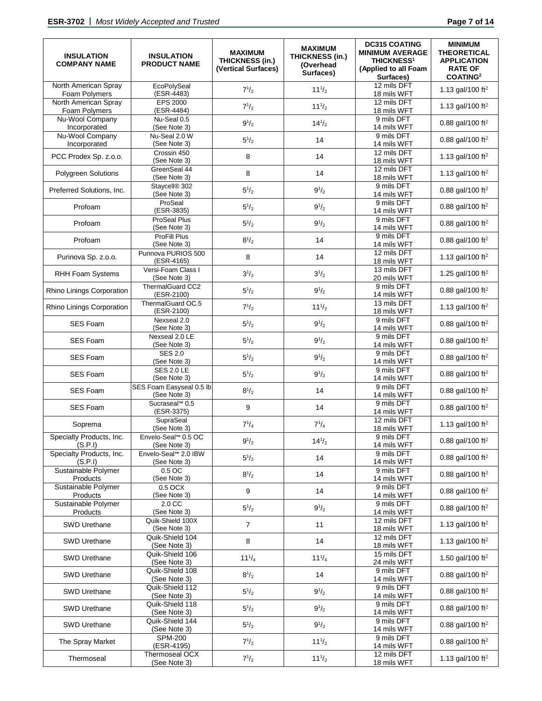| <b>INSULATION</b><br><b>COMPANY NAME</b> | <b>INSULATION</b><br><b>PRODUCT NAME</b>  | <b>MAXIMUM</b><br><b>THICKNESS (in.)</b><br>(Vertical Surfaces) | <b>MAXIMUM</b><br>THICKNESS (in.)<br>(Overhead<br>Surfaces) | <b>DC315 COATING</b><br><b>MINIMUM AVERAGE</b><br><b>THICKNESS<sup>1</sup></b><br>(Applied to all Foam<br>Surfaces) | <b>MINIMUM</b><br><b>THEORETICAL</b><br><b>APPLICATION</b><br><b>RATE OF</b><br><b>COATING2</b> |
|------------------------------------------|-------------------------------------------|-----------------------------------------------------------------|-------------------------------------------------------------|---------------------------------------------------------------------------------------------------------------------|-------------------------------------------------------------------------------------------------|
| North American Spray<br>Foam Polymers    | EcoPolySeal<br>(ESR-4483)                 | $7^{1/2}$                                                       | $11^{1/2}$                                                  | 12 mils DFT<br>18 mils WFT                                                                                          | 1.13 gal/100 ft <sup>2</sup>                                                                    |
| North American Spray<br>Foam Polymers    | <b>EPS 2000</b><br>(ESR-4484)             | $7^{1/2}$                                                       | $11^{1/2}$                                                  | 12 mils DFT<br>18 mils WFT                                                                                          | 1.13 gal/100 ft <sup>2</sup>                                                                    |
| Nu-Wool Company<br>Incorporated          | Nu-Seal 0.5<br>(See Note 3)               | $9^{1/2}$                                                       | $14^{1/2}$                                                  | 9 mils DFT<br>14 mils WFT                                                                                           | 0.88 gal/100 ft <sup>2</sup>                                                                    |
| Nu-Wool Company<br>Incorporated          | Nu-Seal 2.0 W<br>(See Note 3)             | $5^{1/2}$                                                       | 14                                                          | 9 mils DFT<br>14 mils WFT                                                                                           | 0.88 gal/100 ft <sup>2</sup>                                                                    |
| PCC Prodex Sp. z.o.o.                    | Crossin 450<br>(See Note 3)               | 8                                                               | 14                                                          | 12 mils DFT<br>18 mils WFT                                                                                          | 1.13 gal/100 ft <sup>2</sup>                                                                    |
| Polygreen Solutions                      | GreenSeal 44<br>(See Note 3)              | 8                                                               | 14                                                          | 12 mils DFT<br>18 mils WFT                                                                                          | 1.13 gal/100 ft <sup>2</sup>                                                                    |
| Preferred Solutions, Inc.                | Staycell <sup>®</sup> 302<br>(See Note 3) | $5^{1/2}$                                                       | $9^{1/2}$                                                   | 9 mils DFT<br>14 mils WFT                                                                                           | 0.88 gal/100 ft <sup>2</sup>                                                                    |
| Profoam                                  | ProSeal<br>(ESR-3835)                     | $5^{1/2}$                                                       | $9^{1/2}$                                                   | 9 mils DFT<br>14 mils WFT                                                                                           | 0.88 gal/100 ft <sup>2</sup>                                                                    |
| Profoam                                  | <b>ProSeal Plus</b><br>(See Note 3)       | $5^{1/2}$                                                       | $9^{1/2}$                                                   | 9 mils DFT<br>14 mils WFT                                                                                           | 0.88 gal/100 ft <sup>2</sup>                                                                    |
| Profoam                                  | <b>ProFill Plus</b><br>(See Note 3)       | $8^{1/2}$                                                       | 14                                                          | 9 mils DFT<br>14 mils WFT                                                                                           | 0.88 gal/100 ft <sup>2</sup>                                                                    |
| Purinova Sp. z.o.o.                      | Purinova PURIOS 500<br>(ESR-4165)         | 8                                                               | 14                                                          | 12 mils DFT<br>18 mils WFT                                                                                          | 1.13 gal/100 ft <sup>2</sup>                                                                    |
| RHH Foam Systems                         | Versi-Foam Class I<br>(See Note 3)        | $3^{1/2}$                                                       | $3^{1/2}$                                                   | 13 mils DFT<br>20 mils WFT                                                                                          | 1.25 gal/100 ft <sup>2</sup>                                                                    |
| Rhino Linings Corporation                | ThermalGuard CC2<br>(ESR-2100)            | $5^{1/2}$                                                       | $9^{1/2}$                                                   | 9 mils DFT<br>14 mils WFT                                                                                           | 0.88 gal/100 ft <sup>2</sup>                                                                    |
| Rhino Linings Corporation                | ThermalGuard OC.5<br>(ESR-2100)           | $7^{1/2}$                                                       | $11^{1/2}$                                                  | 13 mils DFT<br>18 mils WFT                                                                                          | 1.13 gal/100 ft <sup>2</sup>                                                                    |
| <b>SES Foam</b>                          | Nexseal 2.0<br>(See Note 3)               | $5^{1/2}$                                                       | $9^{1/2}$                                                   | 9 mils DFT<br>14 mils WFT                                                                                           | 0.88 gal/100 ft <sup>2</sup>                                                                    |
| <b>SES Foam</b>                          | Nexseal 2.0 LE<br>(See Note 3)            | $5^{1/2}$                                                       | $9^{1/2}$                                                   | 9 mils DFT<br>14 mils WFT                                                                                           | 0.88 gal/100 ft <sup>2</sup>                                                                    |
| <b>SES Foam</b>                          | <b>SES 2.0</b><br>(See Note 3)            | $5^{1/2}$                                                       | $9^{1/2}$                                                   | 9 mils DFT<br>14 mils WFT                                                                                           | 0.88 gal/100 ft <sup>2</sup>                                                                    |
| <b>SES Foam</b>                          | <b>SES 2.0 LE</b><br>(See Note 3)         | $5^{1/2}$                                                       | $9^{1/2}$                                                   | 9 mils DFT<br>14 mils WFT                                                                                           | 0.88 gal/100 ft <sup>2</sup>                                                                    |
| <b>SES Foam</b>                          | SES Foam Easyseal 0.5 lb<br>(See Note 3)  | $8^{1/2}$                                                       | 14                                                          | 9 mils DFT<br>14 mils WFT                                                                                           | 0.88 gal/100 ft <sup>2</sup>                                                                    |
| <b>SES Foam</b>                          | Sucraseal <sup>™</sup> 0.5<br>(ESR-3375)  | 9                                                               | 14                                                          | 9 mils DFT<br>14 mils WFT                                                                                           | 0.88 gal/100 ft <sup>2</sup>                                                                    |
| Soprema                                  | SupraSeal<br>(See Note 3)                 | $7^{1/4}$                                                       | $7^{1/4}$                                                   | 12 mils DFT<br>18 mils WFT                                                                                          | 1.13 gal/100 ft <sup>2</sup>                                                                    |
| Specialty Products, Inc.<br>(S.P.1)      | Envelo-Seal™ 0.5 OC<br>(See Note 3)       | $9^{1/2}$                                                       | $14^{1/2}$                                                  | 9 mils DFT<br>14 mils WFT                                                                                           | 0.88 gal/100 ft <sup>2</sup>                                                                    |
| Specialty Products, Inc.<br>(S.P.1)      | Envelo-Seal™ 2.0 IBW<br>(See Note 3)      | $5^{1/2}$                                                       | 14                                                          | 9 mils DFT<br>14 mils WFT                                                                                           | 0.88 gal/100 ft <sup>2</sup>                                                                    |
| Sustainable Polymer<br>Products          | 0.5 OC<br>(See Note 3)                    | $8^{1/2}$                                                       | 14                                                          | 9 mils DFT<br>14 mils WFT                                                                                           | 0.88 gal/100 ft <sup>2</sup>                                                                    |
| Sustainable Polymer<br>Products          | 0.5 OCX<br>(See Note 3)                   | 9                                                               | 14                                                          | 9 mils DFT<br>14 mils WFT                                                                                           | 0.88 gal/100 ft <sup>2</sup>                                                                    |
| Sustainable Polymer<br>Products          | 2.0 CC<br>(See Note 3)                    | $5^{1/2}$                                                       | $9^{1/2}$                                                   | 9 mils DFT<br>14 mils WFT                                                                                           | 0.88 gal/100 ft <sup>2</sup>                                                                    |
| SWD Urethane                             | Quik-Shield 100X<br>(See Note 3)          | $\overline{7}$                                                  | 11                                                          | 12 mils DFT<br>18 mils WFT                                                                                          | 1.13 gal/100 ft <sup>2</sup>                                                                    |
| SWD Urethane                             | Quik-Shield 104<br>(See Note 3)           | 8                                                               | 14                                                          | 12 mils DFT<br>18 mils WFT                                                                                          | 1.13 gal/100 ft <sup>2</sup>                                                                    |
| SWD Urethane                             | Quik-Shield 106<br>(See Note 3)           | $11^{1}/_{4}$                                                   | $11^{1}/_{4}$                                               | 15 mils DFT<br>24 mils WFT                                                                                          | 1.50 gal/100 ft <sup>2</sup>                                                                    |
| <b>SWD Urethane</b>                      | Quik-Shield 108<br>(See Note 3)           | $8^{1/2}$                                                       | 14                                                          | 9 mils DFT<br>14 mils WFT                                                                                           | 0.88 gal/100 ft <sup>2</sup>                                                                    |
| SWD Urethane                             | Quik-Shield 112<br>(See Note 3)           | $5^{1/2}$                                                       | $9^{1/2}$                                                   | 9 mils DFT<br>14 mils WFT                                                                                           | 0.88 gal/100 ft <sup>2</sup>                                                                    |
| SWD Urethane                             | Quik-Shield 118<br>(See Note 3)           | $5^{1/2}$                                                       | $9^{1/2}$                                                   | 9 mils DFT<br>14 mils WFT                                                                                           | 0.88 gal/100 ft <sup>2</sup>                                                                    |
| SWD Urethane                             | Quik-Shield 144<br>(See Note 3)           | $5^{1}/_{2}$                                                    | $9^{1/2}$                                                   | 9 mils DFT<br>14 mils WFT                                                                                           | 0.88 gal/100 ft <sup>2</sup>                                                                    |
| The Spray Market                         | <b>SPM-200</b><br>(ESR-4195)              | $7^{1/2}$                                                       | $11^{1/2}$                                                  | 9 mils DFT<br>14 mils WFT                                                                                           | 0.88 gal/100 ft <sup>2</sup>                                                                    |
| Thermoseal                               | Thermoseal OCX<br>(See Note 3)            | $7^{1/2}$                                                       | $11^{1/2}$                                                  | 12 mils DFT<br>18 mils WFT                                                                                          | 1.13 gal/100 ft <sup>2</sup>                                                                    |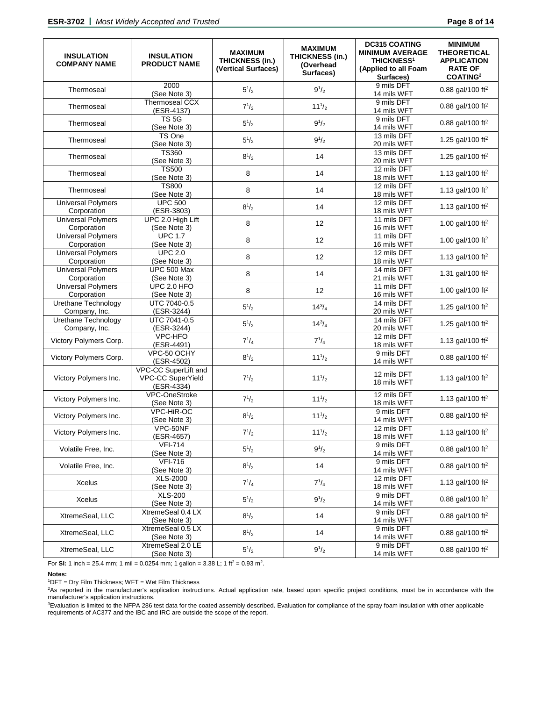| <b>INSULATION</b><br><b>COMPANY NAME</b> | <b>INSULATION</b><br><b>PRODUCT NAME</b>                | <b>MAXIMUM</b><br><b>THICKNESS (in.)</b><br>(Vertical Surfaces) | <b>MAXIMUM</b><br><b>THICKNESS (in.)</b><br>(Overhead<br>Surfaces) | <b>DC315 COATING</b><br><b>MINIMUM AVERAGE</b><br><b>THICKNESS<sup>1</sup></b><br>(Applied to all Foam<br>Surfaces) | <b>MINIMUM</b><br><b>THEORETICAL</b><br><b>APPLICATION</b><br><b>RATE OF</b><br><b>COATING2</b> |
|------------------------------------------|---------------------------------------------------------|-----------------------------------------------------------------|--------------------------------------------------------------------|---------------------------------------------------------------------------------------------------------------------|-------------------------------------------------------------------------------------------------|
| Thermoseal                               | 2000<br>(See Note 3)                                    | $5^{1}/_{2}$                                                    | $9^{1/2}$                                                          | 9 mils DFT<br>14 mils WFT                                                                                           | 0.88 gal/100 ft <sup>2</sup>                                                                    |
| Thermoseal                               | Thermoseal CCX<br>(ESR-4137)                            | $7^{1/2}$                                                       | $11^{1/2}$                                                         | 9 mils DFT<br>14 mils WFT                                                                                           | 0.88 gal/100 ft <sup>2</sup>                                                                    |
| Thermoseal                               | <b>TS 5G</b><br>(See Note 3)                            | $5^{1/2}$                                                       | $9^{1/2}$                                                          | 9 mils DFT<br>14 mils WFT                                                                                           | 0.88 gal/100 ft <sup>2</sup>                                                                    |
| Thermoseal                               | TS One<br>(See Note 3)                                  | $5^{1/2}$                                                       | $9^{1/2}$                                                          | 13 mils DFT<br>20 mils WFT                                                                                          | 1.25 gal/100 ft <sup>2</sup>                                                                    |
| Thermoseal                               | <b>TS360</b><br>(See Note 3)                            | $8^{1/2}$                                                       | 14                                                                 | 13 mils DFT<br>20 mils WFT                                                                                          | 1.25 gal/100 ft <sup>2</sup>                                                                    |
| Thermoseal                               | <b>TS500</b><br>(See Note 3)                            | 8                                                               | 14                                                                 | 12 mils DFT<br>18 mils WFT                                                                                          | 1.13 gal/100 ft <sup>2</sup>                                                                    |
| Thermoseal                               | <b>TS800</b><br>(See Note 3)                            | 8                                                               | 14                                                                 | 12 mils DFT<br>18 mils WFT                                                                                          | 1.13 gal/100 ft <sup>2</sup>                                                                    |
| <b>Universal Polymers</b><br>Corporation | <b>UPC 500</b><br>(ESR-3803)                            | $8^{1/2}$                                                       | 14                                                                 | 12 mils DFT<br>18 mils WFT                                                                                          | 1.13 gal/100 ft <sup>2</sup>                                                                    |
| <b>Universal Polymers</b><br>Corporation | UPC 2.0 High Lift<br>(See Note 3)                       | 8                                                               | 12                                                                 | 11 mils DFT<br>16 mils WFT                                                                                          | 1.00 gal/100 ft <sup>2</sup>                                                                    |
| <b>Universal Polymers</b><br>Corporation | <b>UPC 1.7</b><br>(See Note 3)                          | 8                                                               | 12                                                                 | 11 mils DFT<br>16 mils WFT                                                                                          | 1.00 gal/100 ft <sup>2</sup>                                                                    |
| <b>Universal Polymers</b><br>Corporation | <b>UPC 2.0</b><br>(See Note 3)                          | 8                                                               | 12                                                                 | 12 mils DFT<br>18 mils WFT                                                                                          | 1.13 gal/100 ft <sup>2</sup>                                                                    |
| <b>Universal Polymers</b><br>Corporation | <b>UPC 500 Max</b><br>(See Note 3)                      | 8                                                               | 14                                                                 | 14 mils DFT<br>21 mils WFT                                                                                          | 1.31 gal/100 ft <sup>2</sup>                                                                    |
| <b>Universal Polymers</b><br>Corporation | UPC 2.0 HFO<br>(See Note 3)                             | 8                                                               | 12                                                                 | 11 mils DFT<br>16 mils WFT                                                                                          | 1.00 gal/100 ft <sup>2</sup>                                                                    |
| Urethane Technology<br>Company, Inc.     | UTC 7040-0.5<br>(ESR-3244)                              | $5^{1}/_{2}$                                                    | $14^{3}/_{4}$                                                      | 14 mils DFT<br>20 mils WFT                                                                                          | 1.25 gal/100 ft <sup>2</sup>                                                                    |
| Urethane Technology<br>Company, Inc.     | UTC 7041-0.5<br>(ESR-3244)                              | $5^{1/2}$                                                       | $14^{3}/_{4}$                                                      | 14 mils DFT<br>20 mils WFT                                                                                          | 1.25 gal/100 ft <sup>2</sup>                                                                    |
| Victory Polymers Corp.                   | VPC-HFO<br>(ESR-4491)                                   | $7^{1/4}$                                                       | $7^{1/4}$                                                          | 12 mils DFT<br>18 mils WFT                                                                                          | 1.13 gal/100 ft <sup>2</sup>                                                                    |
| Victory Polymers Corp.                   | VPC-50 OCHY<br>(ESR-4502)                               | $8^{1/2}$                                                       | $11^{1/2}$                                                         | 9 mils DFT<br>14 mils WFT                                                                                           | 0.88 gal/100 ft <sup>2</sup>                                                                    |
| Victory Polymers Inc.                    | VPC-CC SuperLift and<br>VPC-CC SuperYield<br>(ESR-4334) | $7^{1/2}$                                                       | $11^{1/2}$                                                         | 12 mils DFT<br>18 mils WFT                                                                                          | 1.13 gal/100 ft <sup>2</sup>                                                                    |
| Victory Polymers Inc.                    | VPC-OneStroke<br>(See Note 3)                           | $7^{1/2}$                                                       | $11^{1/2}$                                                         | 12 mils DFT<br>18 mils WFT                                                                                          | 1.13 gal/100 ft <sup>2</sup>                                                                    |
| Victory Polymers Inc.                    | VPC-HiR-OC<br>(See Note 3)                              | $8^{1/2}$                                                       | $11^{1/2}$                                                         | 9 mils DFT<br>14 mils WFT                                                                                           | 0.88 gal/100 ft <sup>2</sup>                                                                    |
| Victory Polymers Inc.                    | VPC-50NF<br>$(ESR-4657)$                                | $7^{1/2}$                                                       | $11^{1/2}$                                                         | 12 mils DFT<br>18 mils WFT                                                                                          | 1.13 gal/100 ft <sup>2</sup>                                                                    |
| Volatile Free, Inc.                      | <b>VFI-714</b><br>(See Note 3)                          | $5^{1}/_{2}$                                                    | $9^{1/2}$                                                          | 9 mils DFT<br>14 mils WFT                                                                                           | 0.88 gal/100 ft <sup>2</sup>                                                                    |
| Volatile Free, Inc.                      | <b>VFI-716</b><br>(See Note 3)                          | $8^{1/2}$                                                       | 14                                                                 | 9 mils DFT<br>14 mils WFT                                                                                           | 0.88 gal/100 ft <sup>2</sup>                                                                    |
| <b>Xcelus</b>                            | XLS-2000<br>(See Note 3)                                | $7^{1}/_{4}$                                                    | $7^{1}/_{4}$                                                       | 12 mils DFT<br>18 mils WFT                                                                                          | 1.13 gal/100 ft <sup>2</sup>                                                                    |
| Xcelus                                   | <b>XLS-200</b><br>(See Note 3)                          | $5^{1/2}$                                                       | $9^{1/2}$                                                          | 9 mils DFT<br>14 mils WFT                                                                                           | 0.88 gal/100 ft <sup>2</sup>                                                                    |
| XtremeSeal, LLC                          | XtremeSeal 0.4 LX<br>(See Note 3)                       | $8^{1/2}$                                                       | 14                                                                 | 9 mils DFT<br>14 mils WFT                                                                                           | 0.88 gal/100 ft <sup>2</sup>                                                                    |
| XtremeSeal, LLC                          | XtremeSeal 0.5 LX<br>(See Note 3)                       | $8^{1/2}$                                                       | 14                                                                 | 9 mils DFT<br>14 mils WFT                                                                                           | 0.88 gal/100 ft <sup>2</sup>                                                                    |
| XtremeSeal, LLC                          | XtremeSeal 2.0 LE<br>(See Note 3)                       | $5^{1/2}$                                                       | $9^{1/2}$                                                          | 9 mils DFT<br>14 mils WFT                                                                                           | 0.88 gal/100 ft <sup>2</sup>                                                                    |

For **SI:** 1 inch = 25.4 mm; 1 mil = 0.0254 mm; 1 gallon = 3.38 L; 1 ft<sup>2</sup> = 0.93 m<sup>2</sup>.

# **Notes:**

1DFT = Dry Film Thickness; WFT = Wet Film Thickness

2 As reported in the manufacturer's application instructions. Actual application rate, based upon specific project conditions, must be in accordance with the manufacturer's application instructions.

<sup>3</sup>Evaluation is limited to the NFPA 286 test data for the coated assembly described. Evaluation for compliance of the spray foam insulation with other applicable requirements of AC377 and the IBC and IRC are outside the scope of the report.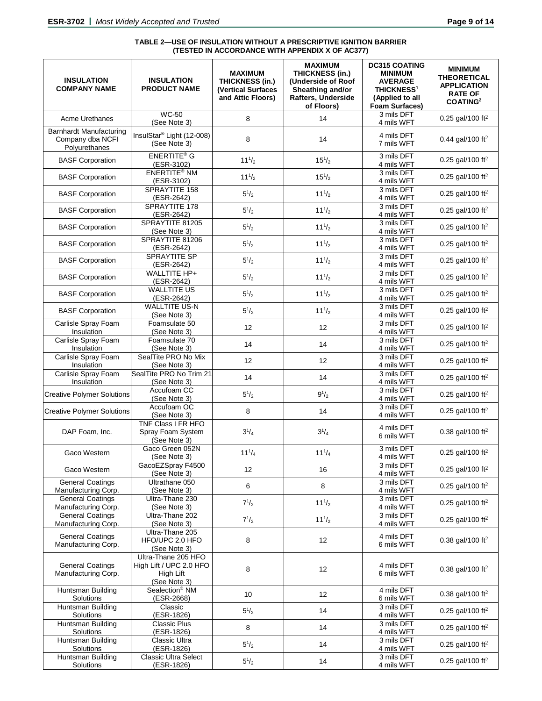#### **TABLE 2—USE OF INSULATION WITHOUT A PRESCRIPTIVE IGNITION BARRIER (TESTED IN ACCORDANCE WITH APPENDIX X OF AC377)**

| <b>INSULATION</b><br><b>COMPANY NAME</b>                            | <b>INSULATION</b><br><b>PRODUCT NAME</b>                                    | <b>MAXIMUM</b><br><b>THICKNESS (in.)</b><br><b>(Vertical Surfaces</b><br>and Attic Floors) | <b>MAXIMUM</b><br><b>THICKNESS (in.)</b><br>(Underside of Roof<br>Sheathing and/or<br>Rafters, Underside<br>of Floors) | <b>DC315 COATING</b><br><b>MINIMUM</b><br><b>AVERAGE</b><br><b>THICKNESS<sup>1</sup></b><br>(Applied to all<br>Foam Surfaces) | <b>MINIMUM</b><br><b>THEORETICAL</b><br><b>APPLICATION</b><br><b>RATE OF</b><br>COATING <sup>2</sup> |
|---------------------------------------------------------------------|-----------------------------------------------------------------------------|--------------------------------------------------------------------------------------------|------------------------------------------------------------------------------------------------------------------------|-------------------------------------------------------------------------------------------------------------------------------|------------------------------------------------------------------------------------------------------|
| <b>Acme Urethanes</b>                                               | <b>WC-50</b><br>(See Note 3)                                                | 8                                                                                          | 14                                                                                                                     | 3 mils DFT<br>4 mils WFT                                                                                                      | 0.25 gal/100 ft <sup>2</sup>                                                                         |
| <b>Barnhardt Manufacturing</b><br>Company dba NCFI<br>Polyurethanes | InsulStar® Light (12-008)<br>(See Note 3)                                   | 8                                                                                          | 14                                                                                                                     | 4 mils DFT<br>7 mils WFT                                                                                                      | 0.44 gal/100 ft <sup>2</sup>                                                                         |
| <b>BASF Corporation</b>                                             | <b>ENERTITE® G</b><br>(ESR-3102)                                            | $11^{1/2}$                                                                                 | $15^{1/2}$                                                                                                             | 3 mils DFT<br>4 mils WFT                                                                                                      | 0.25 gal/100 ft <sup>2</sup>                                                                         |
| <b>BASF Corporation</b>                                             | <b>ENERTITE® NM</b><br>(ESR-3102)                                           | $11^{1/2}$                                                                                 | $15^{1/2}$                                                                                                             | 3 mils DFT<br>4 mils WFT                                                                                                      | 0.25 gal/100 ft <sup>2</sup>                                                                         |
| <b>BASF Corporation</b>                                             | SPRAYTITE 158<br>(ESR-2642)                                                 | $5^{1/2}$                                                                                  | $11^{1/2}$                                                                                                             | 3 mils DFT<br>4 mils WFT                                                                                                      | 0.25 gal/100 ft <sup>2</sup>                                                                         |
| <b>BASF Corporation</b>                                             | SPRAYTITE 178<br>(ESR-2642)                                                 | $5^{1/2}$                                                                                  | $11^{1/2}$                                                                                                             | 3 mils DFT<br>4 mils WFT                                                                                                      | 0.25 gal/100 ft <sup>2</sup>                                                                         |
| <b>BASF Corporation</b>                                             | SPRAYTITE 81205<br>(See Note 3)                                             | $5^{1/2}$                                                                                  | $11^{1/2}$                                                                                                             | 3 mils DFT<br>4 mils WFT                                                                                                      | 0.25 gal/100 ft <sup>2</sup>                                                                         |
| <b>BASF Corporation</b>                                             | SPRAYTITE 81206<br>(ESR-2642)                                               | $5^{1}/_{2}$                                                                               | $11^{1/2}$                                                                                                             | 3 mils DFT<br>4 mils WFT                                                                                                      | 0.25 gal/100 ft <sup>2</sup>                                                                         |
| <b>BASF Corporation</b>                                             | <b>SPRAYTITE SP</b><br>(ESR-2642)                                           | $5^{1}/_{2}$                                                                               | $11^{1/2}$                                                                                                             | 3 mils DFT<br>4 mils WFT                                                                                                      | 0.25 gal/100 ft <sup>2</sup>                                                                         |
| <b>BASF Corporation</b>                                             | WALLTITE HP+<br>(ESR-2642)                                                  | $5^{1/2}$                                                                                  | $11^{1/2}$                                                                                                             | 3 mils DFT<br>4 mils WFT                                                                                                      | 0.25 gal/100 ft <sup>2</sup>                                                                         |
| <b>BASF Corporation</b>                                             | <b>WALLTITE US</b><br>(ESR-2642)                                            | $5^{1}/_{2}$                                                                               | $11^{1/2}$                                                                                                             | 3 mils DFT<br>4 mils WFT                                                                                                      | 0.25 gal/100 ft <sup>2</sup>                                                                         |
| <b>BASF Corporation</b>                                             | <b>WALLTITE US-N</b><br>(See Note 3)                                        | $5^{1/2}$                                                                                  | $11^{1/2}$                                                                                                             | 3 mils DFT<br>4 mils WFT                                                                                                      | 0.25 gal/100 ft <sup>2</sup>                                                                         |
| Carlisle Spray Foam<br>Insulation                                   | Foamsulate 50<br>(See Note 3)                                               | 12                                                                                         | 12                                                                                                                     | 3 mils DFT<br>4 mils WFT                                                                                                      | 0.25 gal/100 ft <sup>2</sup>                                                                         |
| Carlisle Spray Foam<br>Insulation                                   | Foamsulate 70<br>(See Note 3)                                               | 14                                                                                         | 14                                                                                                                     | 3 mils DFT<br>4 mils WFT                                                                                                      | 0.25 gal/100 ft <sup>2</sup>                                                                         |
| Carlisle Spray Foam<br>Insulation                                   | SealTite PRO No Mix<br>(See Note 3)                                         | 12                                                                                         | 12                                                                                                                     | 3 mils DFT<br>4 mils WFT                                                                                                      | 0.25 gal/100 ft <sup>2</sup>                                                                         |
| Carlisle Spray Foam<br>Insulation                                   | SealTite PRO No Trim 21<br>(See Note 3)                                     | 14                                                                                         | 14                                                                                                                     | 3 mils DFT<br>4 mils WFT                                                                                                      | 0.25 gal/100 ft <sup>2</sup>                                                                         |
| <b>Creative Polymer Solutions</b>                                   | Accufoam CC<br>(See Note 3)                                                 | $5^{1/2}$                                                                                  | $9^{1/2}$                                                                                                              | 3 mils DFT<br>4 mils WFT                                                                                                      | 0.25 gal/100 ft <sup>2</sup>                                                                         |
| <b>Creative Polymer Solutions</b>                                   | Accufoam OC<br>(See Note 3)                                                 | 8                                                                                          | 14                                                                                                                     | 3 mils DFT<br>4 mils WFT                                                                                                      | 0.25 gal/100 ft <sup>2</sup>                                                                         |
| DAP Foam, Inc.                                                      | <b>TNF Class I FR HFO</b><br>Spray Foam System<br>(See Note 3)              | $3^{1}/_{4}$                                                                               | $3^{1}/_{4}$                                                                                                           | 4 mils DFT<br>6 mils WFT                                                                                                      | 0.38 gal/100 ft <sup>2</sup>                                                                         |
| Gaco Western                                                        | Gaco Green 052N<br>(See Note 3)                                             | $11^{1}/_{4}$                                                                              | $11^{1}/_{4}$                                                                                                          | 3 mils DFT<br>4 mils WFT                                                                                                      | 0.25 gal/100 ft <sup>2</sup>                                                                         |
| Gaco Western                                                        | GacoEZSpray F4500<br>(See Note 3)                                           | 12                                                                                         | 16                                                                                                                     | 3 mils DFT<br>4 mils WFT                                                                                                      | 0.25 gal/100 ft <sup>2</sup>                                                                         |
| <b>General Coatings</b><br>Manufacturing Corp.                      | Ultrathane 050<br>(See Note 3)                                              | 6                                                                                          | 8                                                                                                                      | 3 mils DFT<br>4 mils WFT                                                                                                      | 0.25 gal/100 ft <sup>2</sup>                                                                         |
| <b>General Coatings</b><br>Manufacturing Corp.                      | Ultra-Thane 230<br>(See Note 3)                                             | $7^{1/2}$                                                                                  | $11^{1/2}$                                                                                                             | 3 mils DFT<br>4 mils WFT                                                                                                      | 0.25 gal/100 ft <sup>2</sup>                                                                         |
| <b>General Coatings</b><br>Manufacturing Corp.                      | Ultra-Thane 202<br>(See Note 3)                                             | $7^{1/2}$                                                                                  | $11^{1/2}$                                                                                                             | 3 mils DFT<br>4 mils WFT                                                                                                      | 0.25 gal/100 ft <sup>2</sup>                                                                         |
| <b>General Coatings</b><br>Manufacturing Corp.                      | Ultra-Thane 205<br>HFO/UPC 2.0 HFO<br>(See Note 3)                          | 8                                                                                          | 12                                                                                                                     | 4 mils DFT<br>6 mils WFT                                                                                                      | 0.38 gal/100 ft <sup>2</sup>                                                                         |
| <b>General Coatings</b><br>Manufacturing Corp.                      | Ultra-Thane 205 HFO<br>High Lift / UPC 2.0 HFO<br>High Lift<br>(See Note 3) | 8                                                                                          | 12                                                                                                                     | 4 mils DFT<br>6 mils WFT                                                                                                      | 0.38 gal/100 ft <sup>2</sup>                                                                         |
| Huntsman Building<br>Solutions                                      | Sealection <sup>®</sup> NM<br>$(ESR - 2668)$                                | 10                                                                                         | 12                                                                                                                     | 4 mils DFT<br>6 mils WFT                                                                                                      | 0.38 gal/100 ft <sup>2</sup>                                                                         |
| Huntsman Building<br>Solutions                                      | Classic<br>(ESR-1826)                                                       | $5^{1/2}$                                                                                  | 14                                                                                                                     | 3 mils DFT<br>4 mils WFT                                                                                                      | 0.25 gal/100 ft <sup>2</sup>                                                                         |
| Huntsman Building<br>Solutions                                      | <b>Classic Plus</b><br>(ESR-1826)                                           | 8                                                                                          | 14                                                                                                                     | 3 mils DFT<br>4 mils WFT                                                                                                      | 0.25 gal/100 ft <sup>2</sup>                                                                         |
| Huntsman Building<br>Solutions                                      | Classic Ultra<br>(ESR-1826)                                                 | $5^{1/2}$                                                                                  | 14                                                                                                                     | 3 mils DFT<br>4 mils WFT                                                                                                      | 0.25 gal/100 ft <sup>2</sup>                                                                         |
| Huntsman Building<br>Solutions                                      | <b>Classic Ultra Select</b><br>(ESR-1826)                                   | $5^{1/2}$                                                                                  | 14                                                                                                                     | 3 mils DFT<br>4 mils WFT                                                                                                      | 0.25 gal/100 ft <sup>2</sup>                                                                         |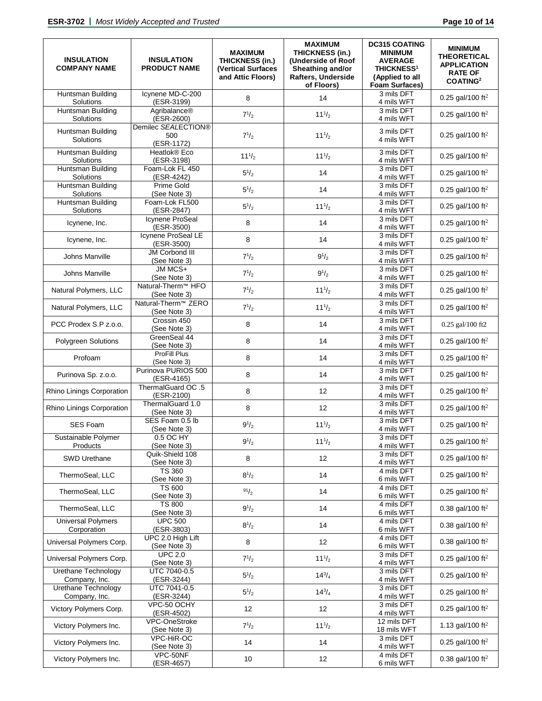| <b>INSULATION</b><br><b>COMPANY NAME</b> | <b>INSULATION</b><br><b>PRODUCT NAME</b>        | <b>MAXIMUM</b><br><b>THICKNESS (in.)</b><br><b>(Vertical Surfaces</b><br>and Attic Floors) | <b>MAXIMUM</b><br><b>THICKNESS (in.)</b><br>(Underside of Roof<br>Sheathing and/or<br><b>Rafters, Underside</b><br>of Floors) | <b>DC315 COATING</b><br><b>MINIMUM</b><br><b>AVERAGE</b><br><b>THICKNESS<sup>1</sup></b><br>(Applied to all<br><b>Foam Surfaces)</b> | <b>MINIMUM</b><br><b>THEORETICAL</b><br><b>APPLICATION</b><br><b>RATE OF</b><br><b>COATING2</b> |
|------------------------------------------|-------------------------------------------------|--------------------------------------------------------------------------------------------|-------------------------------------------------------------------------------------------------------------------------------|--------------------------------------------------------------------------------------------------------------------------------------|-------------------------------------------------------------------------------------------------|
| Huntsman Building<br>Solutions           | Icynene MD-C-200<br>(ESR-3199)                  | 8                                                                                          | 14                                                                                                                            | 3 mils DFT<br>4 mils WFT                                                                                                             | 0.25 gal/100 ft <sup>2</sup>                                                                    |
| Huntsman Building<br>Solutions           | Agribalance®<br>(ESR-2600)                      | $7^{1/2}$                                                                                  | $11^{1/2}$                                                                                                                    | 3 mils DFT<br>4 mils WFT                                                                                                             | 0.25 gal/100 ft <sup>2</sup>                                                                    |
| Huntsman Building<br>Solutions           | Demilec SEALECTION®<br>500<br>(ESR-1172)        | $7^{1/2}$                                                                                  | $11^{1/2}$                                                                                                                    | 3 mils DFT<br>4 mils WFT                                                                                                             | 0.25 gal/100 ft <sup>2</sup>                                                                    |
| Huntsman Building<br>Solutions           | Heatlok® Eco<br>(ESR-3198)                      | $11^{1/2}$                                                                                 | $11^{1/2}$                                                                                                                    | 3 mils DFT<br>4 mils WFT                                                                                                             | 0.25 gal/100 ft <sup>2</sup>                                                                    |
| Huntsman Building<br>Solutions           | Foam-Lok FL 450<br>(ESR-4242)                   | $5\frac{1}{2}$                                                                             | 14                                                                                                                            | 3 mils DFT<br>4 mils WFT                                                                                                             | 0.25 gal/100 ft <sup>2</sup>                                                                    |
| Huntsman Building<br>Solutions           | Prime Gold<br>(See Note 3)                      | $5^{1/2}$                                                                                  | 14                                                                                                                            | 3 mils DFT<br>4 mils WFT                                                                                                             | 0.25 gal/100 ft <sup>2</sup>                                                                    |
| Huntsman Building<br>Solutions           | Foam-Lok FL500<br>(ESR-2847)                    | $5^{1/2}$                                                                                  | $11^{1/2}$                                                                                                                    | 3 mils DFT<br>4 mils WFT                                                                                                             | 0.25 gal/100 ft <sup>2</sup>                                                                    |
| Icynene, Inc.                            | <b>Icynene ProSeal</b><br>(ESR-3500)            | 8                                                                                          | 14                                                                                                                            | 3 mils DFT<br>4 mils WFT                                                                                                             | 0.25 gal/100 ft <sup>2</sup>                                                                    |
| Icynene, Inc.                            | Icynene ProSeal LE<br>(ESR-3500)                | 8                                                                                          | 14                                                                                                                            | 3 mils DFT<br>4 mils WFT                                                                                                             | 0.25 gal/100 ft <sup>2</sup>                                                                    |
| Johns Manville                           | <b>JM Corbond III</b><br>(See Note 3)           | $7^{1/2}$                                                                                  | $9^{1/2}$                                                                                                                     | 3 mils DFT<br>4 mils WFT                                                                                                             | 0.25 gal/100 ft <sup>2</sup>                                                                    |
| Johns Manville                           | JM MCS+<br>(See Note 3)                         | $7^{1/2}$                                                                                  | $9^{1/2}$                                                                                                                     | 3 mils DFT<br>4 mils WFT                                                                                                             | 0.25 gal/100 ft <sup>2</sup>                                                                    |
| Natural Polymers, LLC                    | Natural-Therm <sup>™</sup> HFO<br>(See Note 3)  | $7^{1/2}$                                                                                  | $11^{1/2}$                                                                                                                    | 3 mils DFT<br>4 mils WFT                                                                                                             | 0.25 gal/100 ft <sup>2</sup>                                                                    |
| Natural Polymers, LLC                    | Natural-Therm <sup>™</sup> ZERO<br>(See Note 3) | $7^{1/2}$                                                                                  | $11^{1/2}$                                                                                                                    | 3 mils DFT<br>4 mils WFT                                                                                                             | 0.25 gal/100 ft <sup>2</sup>                                                                    |
| PCC Prodex S.P z.o.o.                    | Crossin 450<br>(See Note 3)                     | 8                                                                                          | 14                                                                                                                            | 3 mils DFT<br>4 mils WFT                                                                                                             | 0.25 gal/100 ft2                                                                                |
| <b>Polygreen Solutions</b>               | GreenSeal 44<br>(See Note 3)                    | 8                                                                                          | 14                                                                                                                            | 3 mils DFT<br>4 mils WFT                                                                                                             | 0.25 gal/100 ft <sup>2</sup>                                                                    |
| Profoam                                  | <b>ProFill Plus</b><br>(See Note 3)             | 8                                                                                          | 14                                                                                                                            | 3 mils DFT<br>4 mils WFT                                                                                                             | 0.25 gal/100 ft <sup>2</sup>                                                                    |
| Purinova Sp. z.o.o.                      | Purinova PURIOS 500<br>(ESR-4165)               | 8                                                                                          | 14                                                                                                                            | 3 mils DFT<br>4 mils WFT                                                                                                             | 0.25 gal/100 ft <sup>2</sup>                                                                    |
| Rhino Linings Corporation                | ThermalGuard OC .5<br>(ESR-2100)                | 8                                                                                          | 12                                                                                                                            | 3 mils DFT<br>4 mils WFT                                                                                                             | 0.25 gal/100 ft <sup>2</sup>                                                                    |
| Rhino Linings Corporation                | ThermalGuard 1.0<br>(See Note 3)                | 8                                                                                          | 12                                                                                                                            | 3 mils DFT<br>4 mils WFT                                                                                                             | 0.25 gal/100 ft <sup>2</sup>                                                                    |
| <b>SES Foam</b>                          | SES Foam 0.5 lb<br>(See Note 3)                 | $9^{1/2}$                                                                                  | $11^{1/2}$                                                                                                                    | 3 mils DFT<br>4 mils WFT                                                                                                             | 0.25 gal/100 ft <sup>2</sup>                                                                    |
| Sustainable Polymer<br>Products          | 0.5 OC HY<br>(See Note 3)                       | $9^{1/2}$                                                                                  | $11^{1/2}$                                                                                                                    | 3 mils DFT<br>4 mils WFT                                                                                                             | 0.25 gal/100 ft <sup>2</sup>                                                                    |
| SWD Urethane                             | Quik-Shield 108<br>(See Note 3)                 | 8                                                                                          | 12                                                                                                                            | 3 mils DFT<br>4 mils WFT                                                                                                             | 0.25 gal/100 ft <sup>2</sup>                                                                    |
| ThermoSeal, LLC                          | <b>TS 360</b><br>(See Note 3)                   | $8^{1/2}$                                                                                  | 14                                                                                                                            | 4 mils DFT<br>6 mils WFT                                                                                                             | 0.25 gal/100 ft <sup>2</sup>                                                                    |
| ThermoSeal, LLC                          | TS 600<br>(See Note 3)                          | 91/2                                                                                       | 14                                                                                                                            | 4 mils DFT<br>6 mils WFT                                                                                                             | 0.25 gal/100 ft <sup>2</sup>                                                                    |
| ThermoSeal, LLC                          | <b>TS 800</b><br>(See Note 3)                   | $9^{1/2}$                                                                                  | 14                                                                                                                            | 4 mils DFT<br>6 mils WFT                                                                                                             | 0.38 gal/100 ft <sup>2</sup>                                                                    |
| <b>Universal Polymers</b><br>Corporation | <b>UPC 500</b><br>(ESR-3803)                    | $8^{1/2}$                                                                                  | 14                                                                                                                            | 4 mils DFT<br>6 mils WFT                                                                                                             | 0.38 gal/100 ft <sup>2</sup>                                                                    |
| Universal Polymers Corp.                 | UPC 2.0 High Lift<br>(See Note 3)               | 8                                                                                          | 12                                                                                                                            | 4 mils DFT<br>6 mils WFT                                                                                                             | 0.38 gal/100 ft <sup>2</sup>                                                                    |
| Universal Polymers Corp.                 | <b>UPC 2.0</b><br>(See Note 3)                  | $7^{1/2}$                                                                                  | $11^{1/2}$                                                                                                                    | 3 mils DFT<br>4 mils WFT                                                                                                             | 0.25 gal/100 ft <sup>2</sup>                                                                    |
| Urethane Technology<br>Company, Inc.     | UTC 7040-0.5<br>(ESR-3244)                      | $5^{1/2}$                                                                                  | $14^{3}/_{4}$                                                                                                                 | 3 mils DFT<br>4 mils WFT                                                                                                             | 0.25 gal/100 ft <sup>2</sup>                                                                    |
| Urethane Technology<br>Company, Inc.     | UTC 7041-0.5<br>(ESR-3244)                      | $5^{1/2}$                                                                                  | $14^{3}/_{4}$                                                                                                                 | 3 mils DFT<br>4 mils WFT                                                                                                             | 0.25 gal/100 ft <sup>2</sup>                                                                    |
| Victory Polymers Corp.                   | VPC-50 OCHY<br>(ESR-4502)                       | 12                                                                                         | 12                                                                                                                            | 3 mils DFT<br>4 mils WFT                                                                                                             | 0.25 gal/100 ft <sup>2</sup>                                                                    |
| Victory Polymers Inc.                    | <b>VPC-OneStroke</b><br>(See Note 3)            | $7^{1/2}$                                                                                  | $11^{1/2}$                                                                                                                    | 12 mils DFT<br>18 mils WFT                                                                                                           | 1.13 gal/100 ft <sup>2</sup>                                                                    |
| Victory Polymers Inc.                    | VPC-HiR-OC<br>(See Note 3)                      | 14                                                                                         | 14                                                                                                                            | 3 mils DFT<br>4 mils WFT                                                                                                             | 0.25 gal/100 ft <sup>2</sup>                                                                    |
| Victory Polymers Inc.                    | VPC-50NF<br>(ESR-4657)                          | 10                                                                                         | 12                                                                                                                            | 4 mils DFT<br>6 mils WFT                                                                                                             | 0.38 gal/100 ft <sup>2</sup>                                                                    |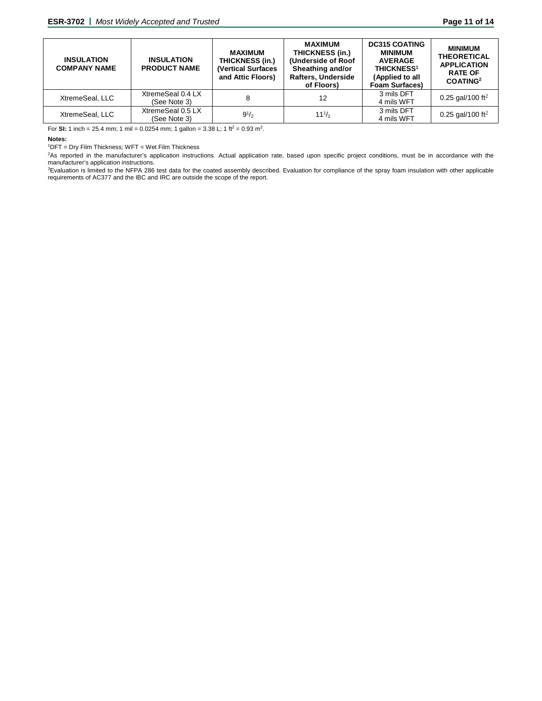| <b>INSULATION</b><br><b>COMPANY NAME</b> | <b>INSULATION</b><br><b>PRODUCT NAME</b> | <b>MAXIMUM</b><br>THICKNESS (in.)<br><b>(Vertical Surfaces</b><br>and Attic Floors) | <b>MAXIMUM</b><br>THICKNESS (in.)<br>(Underside of Roof<br>Sheathing and/or<br><b>Rafters, Underside</b><br>of Floors) | <b>DC315 COATING</b><br><b>MINIMUM</b><br><b>AVERAGE</b><br><b>THICKNESS<sup>1</sup></b><br>(Applied to all<br><b>Foam Surfaces)</b> | <b>MINIMUM</b><br><b>THEORETICAL</b><br><b>APPLICATION</b><br><b>RATE OF</b><br>COATING <sup>2</sup> |
|------------------------------------------|------------------------------------------|-------------------------------------------------------------------------------------|------------------------------------------------------------------------------------------------------------------------|--------------------------------------------------------------------------------------------------------------------------------------|------------------------------------------------------------------------------------------------------|
| XtremeSeal, LLC                          | XtremeSeal 0.4 LX<br>(See Note 3)        |                                                                                     | 12                                                                                                                     | 3 mils DFT<br>4 mils WFT                                                                                                             | 0.25 gal/100 ft <sup>2</sup>                                                                         |
| XtremeSeal, LLC                          | XtremeSeal 0.5 LX<br>(See Note 3)        | $9^{1/2}$                                                                           | $11^{1/2}$                                                                                                             | 3 mils DFT<br>4 mils WFT                                                                                                             | 0.25 gal/100 ft <sup>2</sup>                                                                         |

For **SI:** 1 inch = 25.4 mm; 1 mil = 0.0254 mm; 1 gallon = 3.38 L; 1 ft<sup>2</sup> = 0.93 m<sup>2</sup>.

#### **Notes:**

1 DFT = Dry Film Thickness; WFT = Wet Film Thickness

2 As reported in the manufacturer's application instructions. Actual application rate, based upon specific project conditions, must be in accordance with the manufacturer's application instructions.

3 Evaluation is limited to the NFPA 286 test data for the coated assembly described. Evaluation for compliance of the spray foam insulation with other applicable requirements of AC377 and the IBC and IRC are outside the scope of the report.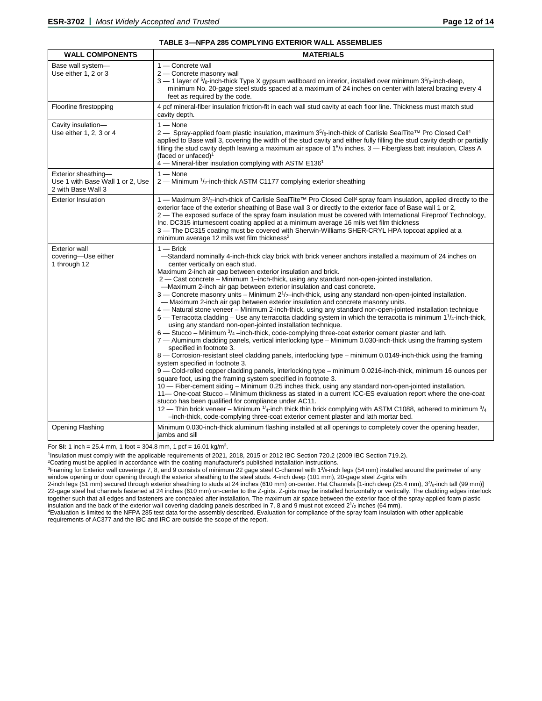#### **TABLE 3—NFPA 285 COMPLYING EXTERIOR WALL ASSEMBLIES**

| <b>WALL COMPONENTS</b>                                                        | <b>MATERIALS</b>                                                                                                                                                                                                                                                                                                                                                                                                                                                                                                                                                                                                                                                                                                                                                                                                                                                                                                                                                                                                                                                                                                                                                                                                                                                                                                                                                                                                                                                                                                                                                                                                                                                                                                                                                                                                                                                                                                                                                                                                    |
|-------------------------------------------------------------------------------|---------------------------------------------------------------------------------------------------------------------------------------------------------------------------------------------------------------------------------------------------------------------------------------------------------------------------------------------------------------------------------------------------------------------------------------------------------------------------------------------------------------------------------------------------------------------------------------------------------------------------------------------------------------------------------------------------------------------------------------------------------------------------------------------------------------------------------------------------------------------------------------------------------------------------------------------------------------------------------------------------------------------------------------------------------------------------------------------------------------------------------------------------------------------------------------------------------------------------------------------------------------------------------------------------------------------------------------------------------------------------------------------------------------------------------------------------------------------------------------------------------------------------------------------------------------------------------------------------------------------------------------------------------------------------------------------------------------------------------------------------------------------------------------------------------------------------------------------------------------------------------------------------------------------------------------------------------------------------------------------------------------------|
| Base wall system-<br>Use either 1, 2 or 3                                     | $1 -$ Concrete wall<br>2 - Concrete masonry wall<br>$3-1$ layer of $5/8$ -inch-thick Type X gypsum wallboard on interior, installed over minimum $35/8$ -inch-deep,<br>minimum No. 20-gage steel studs spaced at a maximum of 24 inches on center with lateral bracing every 4<br>feet as required by the code.                                                                                                                                                                                                                                                                                                                                                                                                                                                                                                                                                                                                                                                                                                                                                                                                                                                                                                                                                                                                                                                                                                                                                                                                                                                                                                                                                                                                                                                                                                                                                                                                                                                                                                     |
| Floorline firestopping                                                        | 4 pcf mineral-fiber insulation friction-fit in each wall stud cavity at each floor line. Thickness must match stud<br>cavity depth.                                                                                                                                                                                                                                                                                                                                                                                                                                                                                                                                                                                                                                                                                                                                                                                                                                                                                                                                                                                                                                                                                                                                                                                                                                                                                                                                                                                                                                                                                                                                                                                                                                                                                                                                                                                                                                                                                 |
| Cavity insulation-<br>Use either 1, 2, 3 or 4                                 | $1 -$ None<br>2 — Spray-applied foam plastic insulation, maximum 3 <sup>5</sup> / <sub>8</sub> -inch-thick of Carlisle SealTite™ Pro Closed Cell <sup>4</sup><br>applied to Base wall 3, covering the width of the stud cavity and either fully filling the stud cavity depth or partially<br>filling the stud cavity depth leaving a maximum air space of $15/6$ inches. 3 – Fiberglass batt insulation, Class A<br>(faced or unfaced) <sup>1</sup><br>4 - Mineral-fiber insulation complying with ASTM E136 <sup>1</sup>                                                                                                                                                                                                                                                                                                                                                                                                                                                                                                                                                                                                                                                                                                                                                                                                                                                                                                                                                                                                                                                                                                                                                                                                                                                                                                                                                                                                                                                                                          |
| Exterior sheathing-<br>Use 1 with Base Wall 1 or 2, Use<br>2 with Base Wall 3 | $1 -$ None<br>2 - Minimum 1/2-inch-thick ASTM C1177 complying exterior sheathing                                                                                                                                                                                                                                                                                                                                                                                                                                                                                                                                                                                                                                                                                                                                                                                                                                                                                                                                                                                                                                                                                                                                                                                                                                                                                                                                                                                                                                                                                                                                                                                                                                                                                                                                                                                                                                                                                                                                    |
| <b>Exterior Insulation</b>                                                    | 1 — Maximum 3 <sup>1</sup> / <sub>2</sub> -inch-thick of Carlisle SealTite <sup>TM</sup> Pro Closed Cell <sup>4</sup> spray foam insulation, applied directly to the<br>exterior face of the exterior sheathing of Base wall 3 or directly to the exterior face of Base wall 1 or 2,<br>2 — The exposed surface of the spray foam insulation must be covered with International Fireproof Technology,<br>Inc. DC315 intumescent coating applied at a minimum average 16 mils wet film thickness<br>3 - The DC315 coating must be covered with Sherwin-Williams SHER-CRYL HPA topcoat applied at a<br>minimum average 12 mils wet film thickness <sup>2</sup>                                                                                                                                                                                                                                                                                                                                                                                                                                                                                                                                                                                                                                                                                                                                                                                                                                                                                                                                                                                                                                                                                                                                                                                                                                                                                                                                                        |
| <b>Exterior wall</b><br>covering-Use either<br>1 through 12                   | $1 -$ Brick<br>-Standard nominally 4-inch-thick clay brick with brick veneer anchors installed a maximum of 24 inches on<br>center vertically on each stud.<br>Maximum 2-inch air gap between exterior insulation and brick.<br>2 — Cast concrete – Minimum 1–inch-thick, using any standard non-open-jointed installation.<br>-Maximum 2-inch air gap between exterior insulation and cast concrete.<br>$3$ — Concrete masonry units – Minimum $2\frac{1}{2}$ inch-thick, using any standard non-open-jointed installation.<br>- Maximum 2-inch air gap between exterior insulation and concrete masonry units.<br>4 — Natural stone veneer – Minimum 2-inch-thick, using any standard non-open-jointed installation technique<br>$5$ — Terracotta cladding – Use any terracotta cladding system in which the terracotta is minimum $11/4$ -inch-thick,<br>using any standard non-open-jointed installation technique.<br>$6$ — Stucco – Minimum $\frac{3}{4}$ –inch-thick, code-complying three-coat exterior cement plaster and lath.<br>7 — Aluminum cladding panels, vertical interlocking type – Minimum 0.030-inch-thick using the framing system<br>specified in footnote 3.<br>8 — Corrosion-resistant steel cladding panels, interlocking type – minimum 0.0149-inch-thick using the framing<br>system specified in footnote 3.<br>9 - Cold-rolled copper cladding panels, interlocking type - minimum 0.0216-inch-thick, minimum 16 ounces per<br>square foot, using the framing system specified in footnote 3.<br>10 - Fiber-cement siding - Minimum 0.25 inches thick, using any standard non-open-jointed installation.<br>11- One-coat Stucco - Minimum thickness as stated in a current ICC-ES evaluation report where the one-coat<br>stucco has been qualified for compliance under AC11.<br>12 - Thin brick veneer - Minimum 1/4-inch thick thin brick complying with ASTM C1088, adhered to minimum 3/4<br>-inch-thick, code-complying three-coat exterior cement plaster and lath mortar bed. |
| Opening Flashing                                                              | Minimum 0.030-inch-thick aluminum flashing installed at all openings to completely cover the opening header,<br>jambs and sill                                                                                                                                                                                                                                                                                                                                                                                                                                                                                                                                                                                                                                                                                                                                                                                                                                                                                                                                                                                                                                                                                                                                                                                                                                                                                                                                                                                                                                                                                                                                                                                                                                                                                                                                                                                                                                                                                      |

For **SI:** 1 inch = 25.4 mm, 1 foot = 304.8 mm, 1 pcf = 16.01 kg/m<sup>3</sup>.

1Insulation must comply with the applicable requirements of 2021, 2018, 2015 or 2012 IBC Section 720.2 (2009 IBC Section 719.2).

<sup>2</sup>Coating must be applied in accordance with the coating manufacturer's published installation instructions.

<sup>3</sup>Framing for Exterior wall coverings 7, 8, and 9 consists of minimum 22 gage steel C-channel with 1<sup>3</sup>/8-inch legs (54 mm) installed around the perimeter of any window opening or door opening through the exterior sheathing to the steel studs. 4-inch deep (101 mm), 20-gage steel Z-girts with

2-inch legs (51 mm) secured through exterior sheathing to studs at 24 inches (610 mm) on-center. Hat Channels [1-inch deep (25.4 mm), 3<sup>7</sup>/8-inch tall (99 mm)] 22-gage steel hat channels fastened at 24 inches (610 mm) on-center to the Z-girts. Z-girts may be installed horizontally or vertically. The cladding edges interlock together such that all edges and fasteners are concealed after installation. The maximum air space between the exterior face of the spray-applied foam plastic insulation and the back of the exterior wall covering cladding panels described in 7, 8 and 9 must not exceed  $2^{1}/2$  inches (64 mm).

4Evaluation is limited to the NFPA 285 test data for the assembly described. Evaluation for compliance of the spray foam insulation with other applicable requirements of AC377 and the IBC and IRC are outside the scope of the report.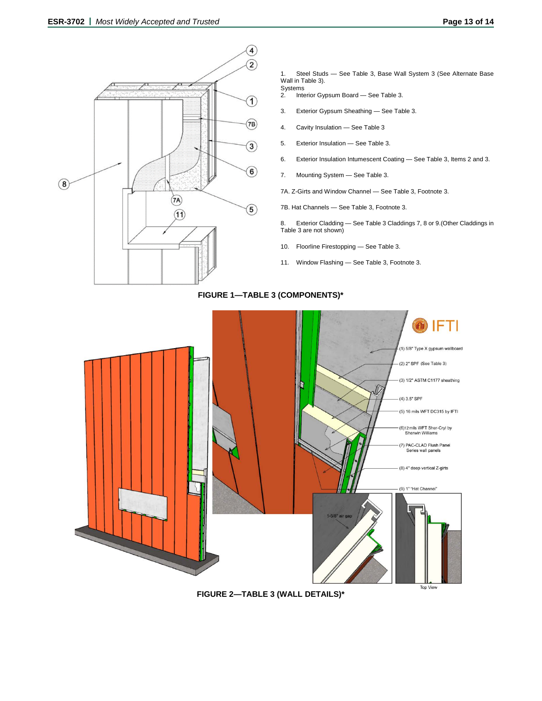

Steel Studs - See Table 3, Base Wall System 3 (See Alternate Base Wall in Table 3).

- Systems<br>2. Inte 2. Interior Gypsum Board — See Table 3.
- 3. Exterior Gypsum Sheathing See Table 3.
- 4. Cavity Insulation See Table 3
- 5. Exterior Insulation See Table 3.
- 6. Exterior Insulation Intumescent Coating See Table 3, Items 2 and 3.
- 7. Mounting System See Table 3.
- 7A. Z-Girts and Window Channel See Table 3, Footnote 3.
- 7B. Hat Channels See Table 3, Footnote 3.

8. Exterior Cladding — See Table 3 Claddings 7, 8 or 9.(Other Claddings in Table 3 are not shown)

- 10. Floorline Firestopping See Table 3.
- 11. Window Flashing See Table 3, Footnote 3.

**FIGURE 1—TABLE 3 (COMPONENTS)\***